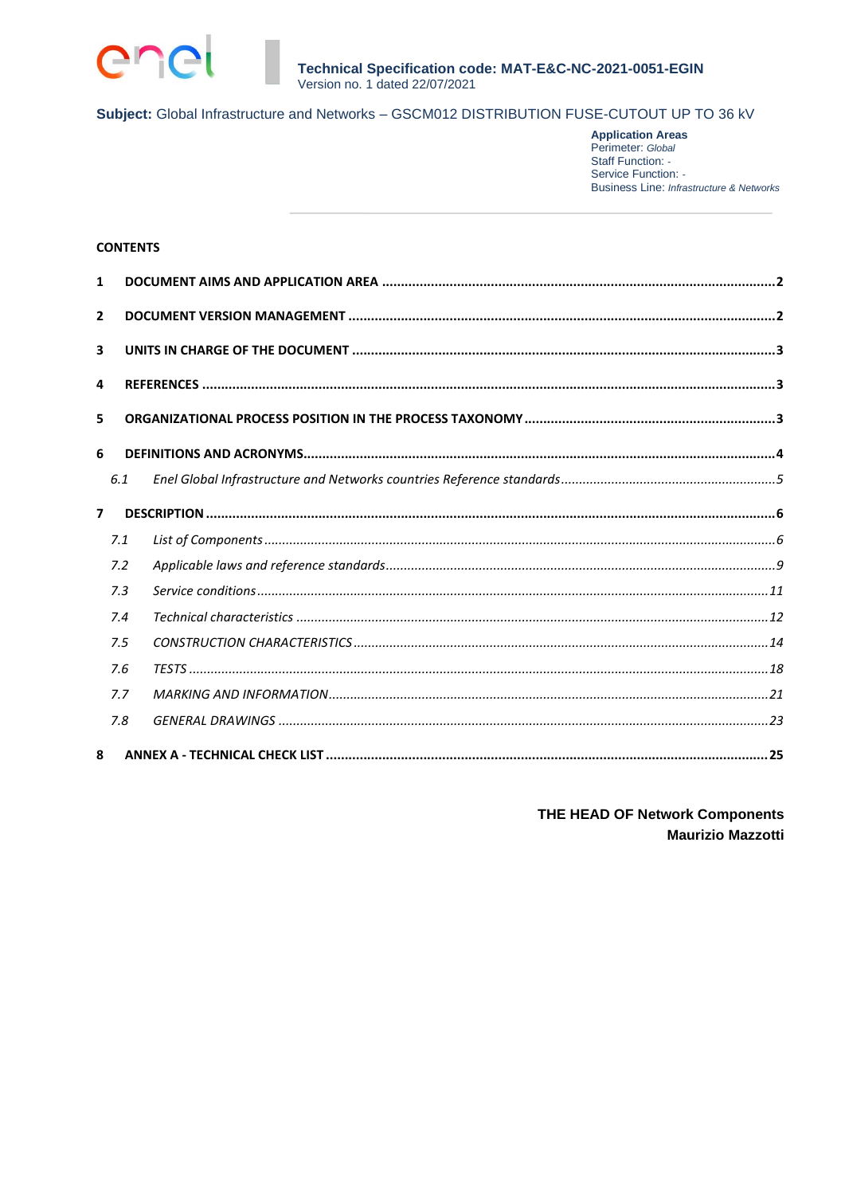

**Application Areas**<br>Perimeter: Global Staff Function: -Service Function: -**Business Line: Infrastructure & Networks** 

#### **CONTENTS**

| 1                       |     |  |  |  |  |
|-------------------------|-----|--|--|--|--|
| $\overline{2}$          |     |  |  |  |  |
| $\overline{\mathbf{3}}$ |     |  |  |  |  |
| 4                       |     |  |  |  |  |
| 5                       |     |  |  |  |  |
| 6                       |     |  |  |  |  |
|                         | 6.1 |  |  |  |  |
| $\overline{7}$          |     |  |  |  |  |
|                         | 7.1 |  |  |  |  |
|                         | 7.2 |  |  |  |  |
|                         | 7.3 |  |  |  |  |
|                         | 7.4 |  |  |  |  |
|                         | 7.5 |  |  |  |  |
|                         | 7.6 |  |  |  |  |
|                         | 7.7 |  |  |  |  |
|                         | 7.8 |  |  |  |  |
| 8                       |     |  |  |  |  |

THE HEAD OF Network Components **Maurizio Mazzotti**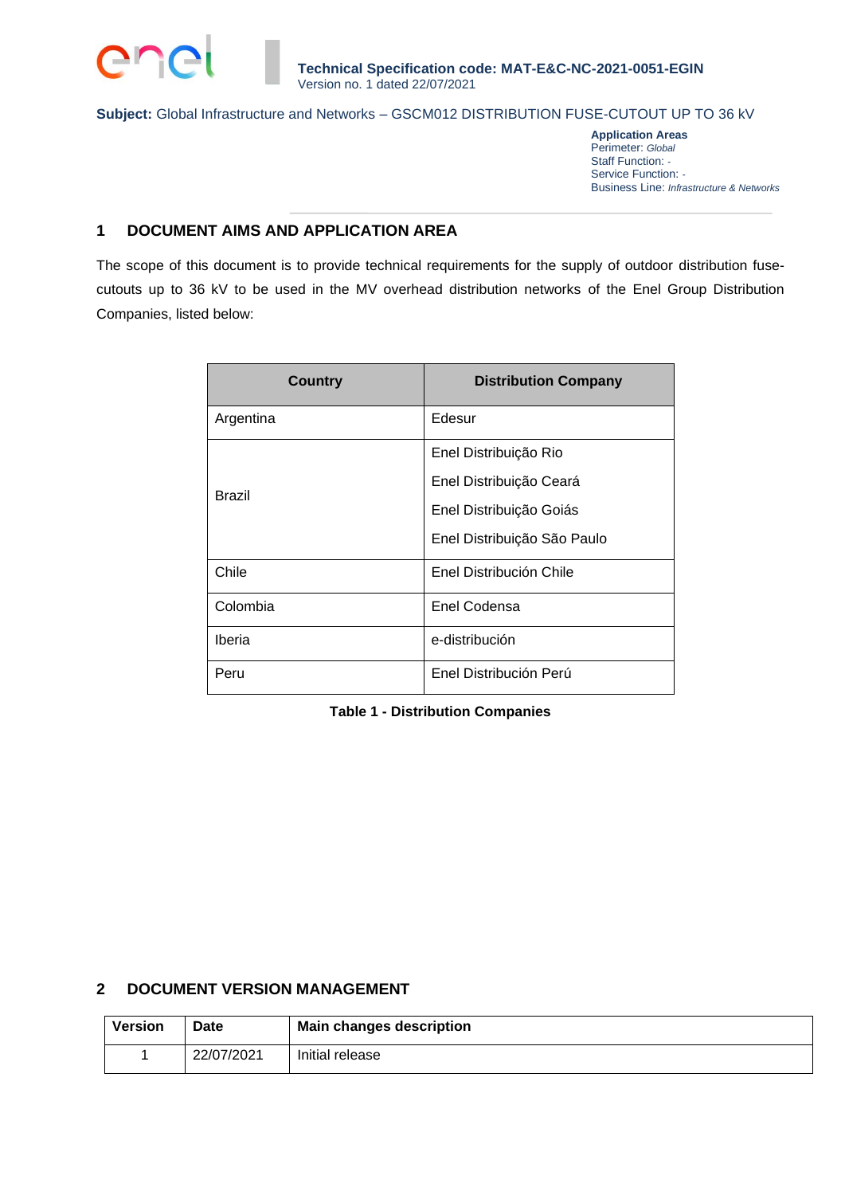

**Application Areas** Perimeter: *Global* Staff Function: *-* Service Function: *-* Business Line: *Infrastructure & Networks*

# **1 DOCUMENT AIMS AND APPLICATION AREA**

The scope of this document is to provide technical requirements for the supply of outdoor distribution fusecutouts up to 36 kV to be used in the MV overhead distribution networks of the Enel Group Distribution Companies, listed below:

| <b>Country</b> | <b>Distribution Company</b> |
|----------------|-----------------------------|
| Argentina      | Edesur                      |
|                | Enel Distribuição Rio       |
|                | Enel Distribuição Ceará     |
| Brazil         | Enel Distribuição Goiás     |
|                | Enel Distribuição São Paulo |
| Chile          | Enel Distribución Chile     |
| Colombia       | Enel Codensa                |
| Iberia         | e-distribución              |
| Peru           | Enel Distribución Perú      |

### **Table 1 - Distribution Companies**

# **2 DOCUMENT VERSION MANAGEMENT**

| <b>Version</b> | <b>Date</b> | <b>Main changes description</b> |
|----------------|-------------|---------------------------------|
|                | 22/07/2021  | Initial release                 |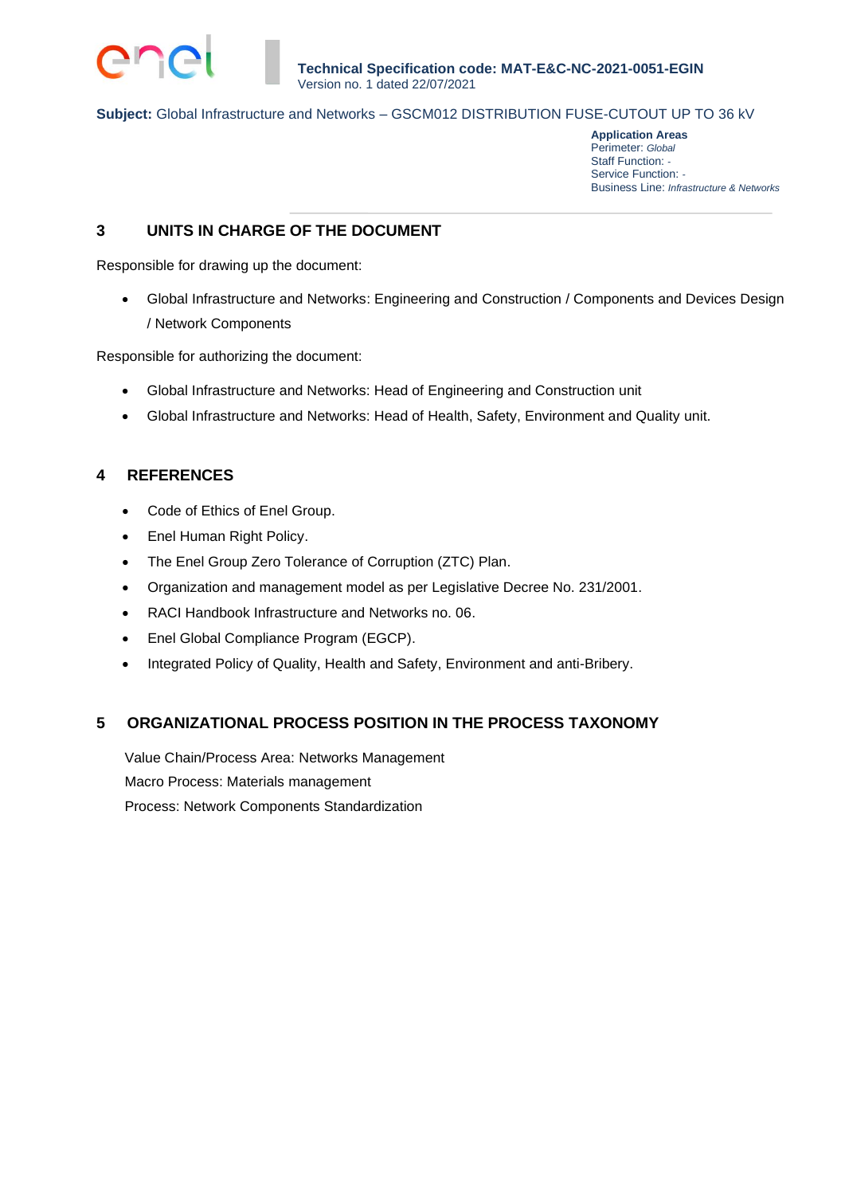

**Application Areas** Perimeter: *Global* Staff Function: *-* Service Function: *-* Business Line: *Infrastructure & Networks*

# **3 UNITS IN CHARGE OF THE DOCUMENT**

Responsible for drawing up the document:

• Global Infrastructure and Networks: Engineering and Construction / Components and Devices Design / Network Components

Responsible for authorizing the document:

- Global Infrastructure and Networks: Head of Engineering and Construction unit
- Global Infrastructure and Networks: Head of Health, Safety, Environment and Quality unit.

# **4 REFERENCES**

- Code of Ethics of Enel Group.
- Enel Human Right Policy.
- The Enel Group Zero Tolerance of Corruption (ZTC) Plan.
- Organization and management model as per Legislative Decree No. 231/2001.
- RACI Handbook Infrastructure and Networks no. 06.
- Enel Global Compliance Program (EGCP).
- Integrated Policy of Quality, Health and Safety, Environment and anti-Bribery.

# **5 ORGANIZATIONAL PROCESS POSITION IN THE PROCESS TAXONOMY**

Value Chain/Process Area: Networks Management Macro Process: Materials management Process: Network Components Standardization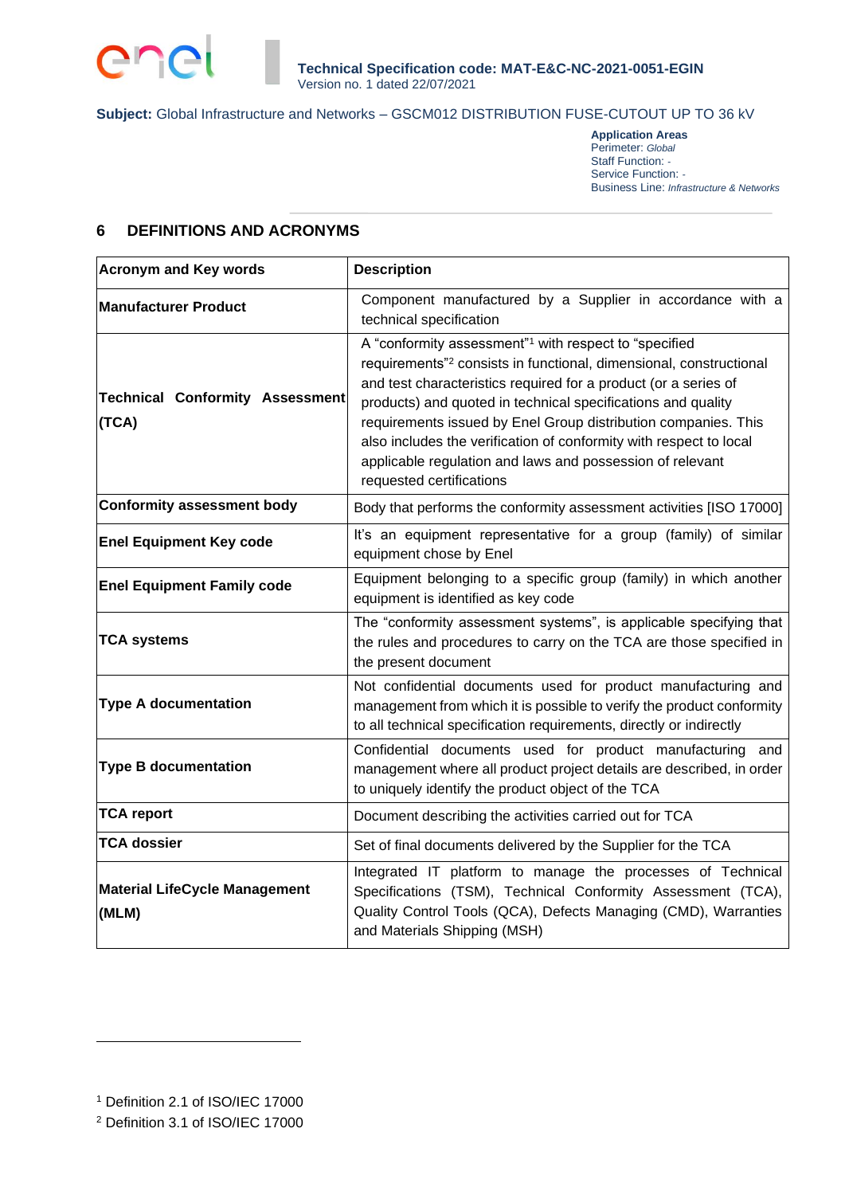

**Application Areas** Perimeter: *Global* Staff Function: *-* Service Function: *-* Business Line: *Infrastructure & Networks*

# **6 DEFINITIONS AND ACRONYMS**

| <b>Acronym and Key words</b>                    | <b>Description</b>                                                                                                                                                                                                                                                                                                                                                                                                                                                                                                      |
|-------------------------------------------------|-------------------------------------------------------------------------------------------------------------------------------------------------------------------------------------------------------------------------------------------------------------------------------------------------------------------------------------------------------------------------------------------------------------------------------------------------------------------------------------------------------------------------|
| <b>Manufacturer Product</b>                     | Component manufactured by a Supplier in accordance with a<br>technical specification                                                                                                                                                                                                                                                                                                                                                                                                                                    |
| <b>Technical Conformity Assessment</b><br>(TCA) | A "conformity assessment" <sup>1</sup> with respect to "specified<br>requirements" <sup>2</sup> consists in functional, dimensional, constructional<br>and test characteristics required for a product (or a series of<br>products) and quoted in technical specifications and quality<br>requirements issued by Enel Group distribution companies. This<br>also includes the verification of conformity with respect to local<br>applicable regulation and laws and possession of relevant<br>requested certifications |
| <b>Conformity assessment body</b>               | Body that performs the conformity assessment activities [ISO 17000]                                                                                                                                                                                                                                                                                                                                                                                                                                                     |
| <b>Enel Equipment Key code</b>                  | It's an equipment representative for a group (family) of similar<br>equipment chose by Enel                                                                                                                                                                                                                                                                                                                                                                                                                             |
| <b>Enel Equipment Family code</b>               | Equipment belonging to a specific group (family) in which another<br>equipment is identified as key code                                                                                                                                                                                                                                                                                                                                                                                                                |
| <b>TCA systems</b>                              | The "conformity assessment systems", is applicable specifying that<br>the rules and procedures to carry on the TCA are those specified in<br>the present document                                                                                                                                                                                                                                                                                                                                                       |
| <b>Type A documentation</b>                     | Not confidential documents used for product manufacturing and<br>management from which it is possible to verify the product conformity<br>to all technical specification requirements, directly or indirectly                                                                                                                                                                                                                                                                                                           |
| <b>Type B documentation</b>                     | Confidential documents used for product manufacturing and<br>management where all product project details are described, in order<br>to uniquely identify the product object of the TCA                                                                                                                                                                                                                                                                                                                                 |
| <b>TCA report</b>                               | Document describing the activities carried out for TCA                                                                                                                                                                                                                                                                                                                                                                                                                                                                  |
| <b>TCA dossier</b>                              | Set of final documents delivered by the Supplier for the TCA                                                                                                                                                                                                                                                                                                                                                                                                                                                            |
| <b>Material LifeCycle Management</b><br>(MLM)   | Integrated IT platform to manage the processes of Technical<br>Specifications (TSM), Technical Conformity Assessment (TCA),<br>Quality Control Tools (QCA), Defects Managing (CMD), Warranties<br>and Materials Shipping (MSH)                                                                                                                                                                                                                                                                                          |

<sup>1</sup> Definition 2.1 of ISO/IEC 17000

<sup>2</sup> Definition 3.1 of ISO/IEC 17000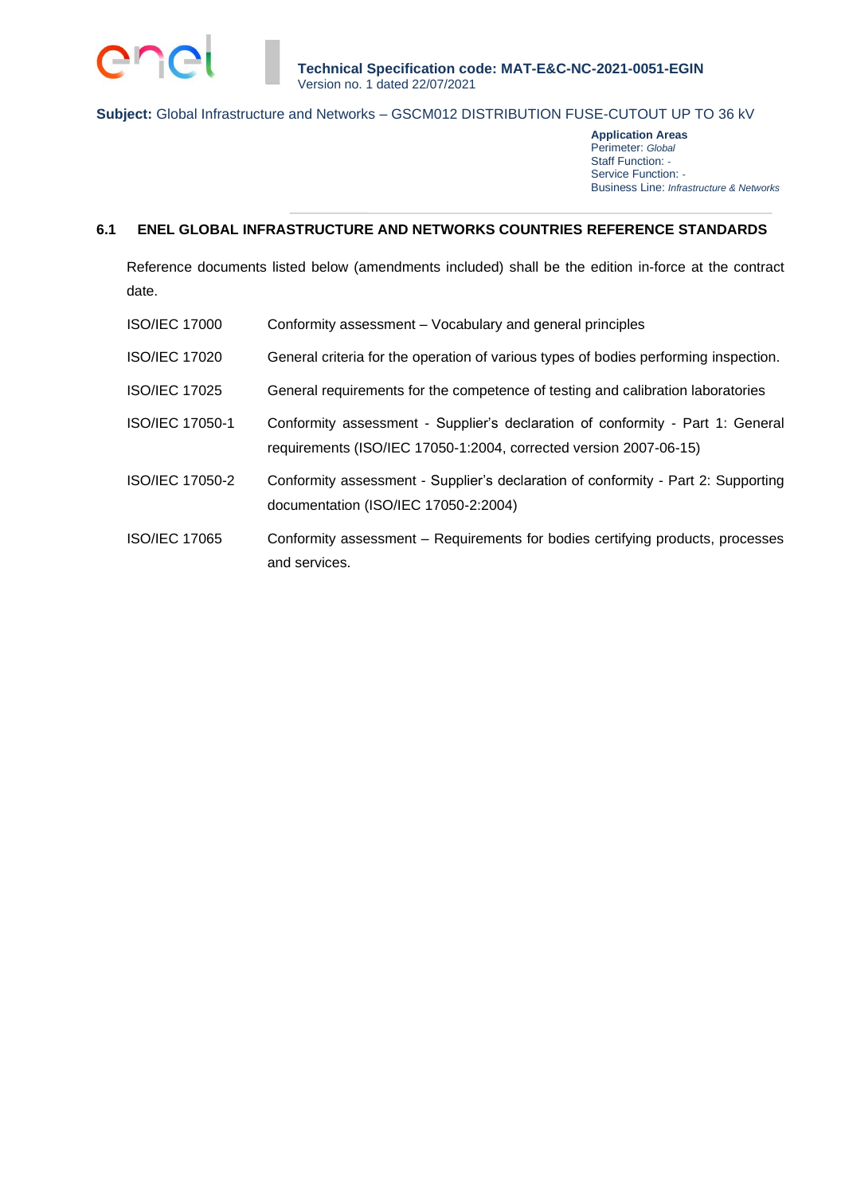

**Application Areas** Perimeter: *Global* Staff Function: *-* Service Function: *-* Business Line: *Infrastructure & Networks*

# **6.1 ENEL GLOBAL INFRASTRUCTURE AND NETWORKS COUNTRIES REFERENCE STANDARDS**

Reference documents listed below (amendments included) shall be the edition in-force at the contract date.

| <b>ISO/IEC 17000</b>   | Conformity assessment – Vocabulary and general principles                                                                                           |
|------------------------|-----------------------------------------------------------------------------------------------------------------------------------------------------|
| <b>ISO/IEC 17020</b>   | General criteria for the operation of various types of bodies performing inspection.                                                                |
| <b>ISO/IEC 17025</b>   | General requirements for the competence of testing and calibration laboratories                                                                     |
| ISO/IEC 17050-1        | Conformity assessment - Supplier's declaration of conformity - Part 1: General<br>requirements (ISO/IEC 17050-1:2004, corrected version 2007-06-15) |
| <b>ISO/IEC 17050-2</b> | Conformity assessment - Supplier's declaration of conformity - Part 2: Supporting<br>documentation (ISO/IEC 17050-2:2004)                           |
| <b>ISO/IEC 17065</b>   | Conformity assessment – Requirements for bodies certifying products, processes<br>and services.                                                     |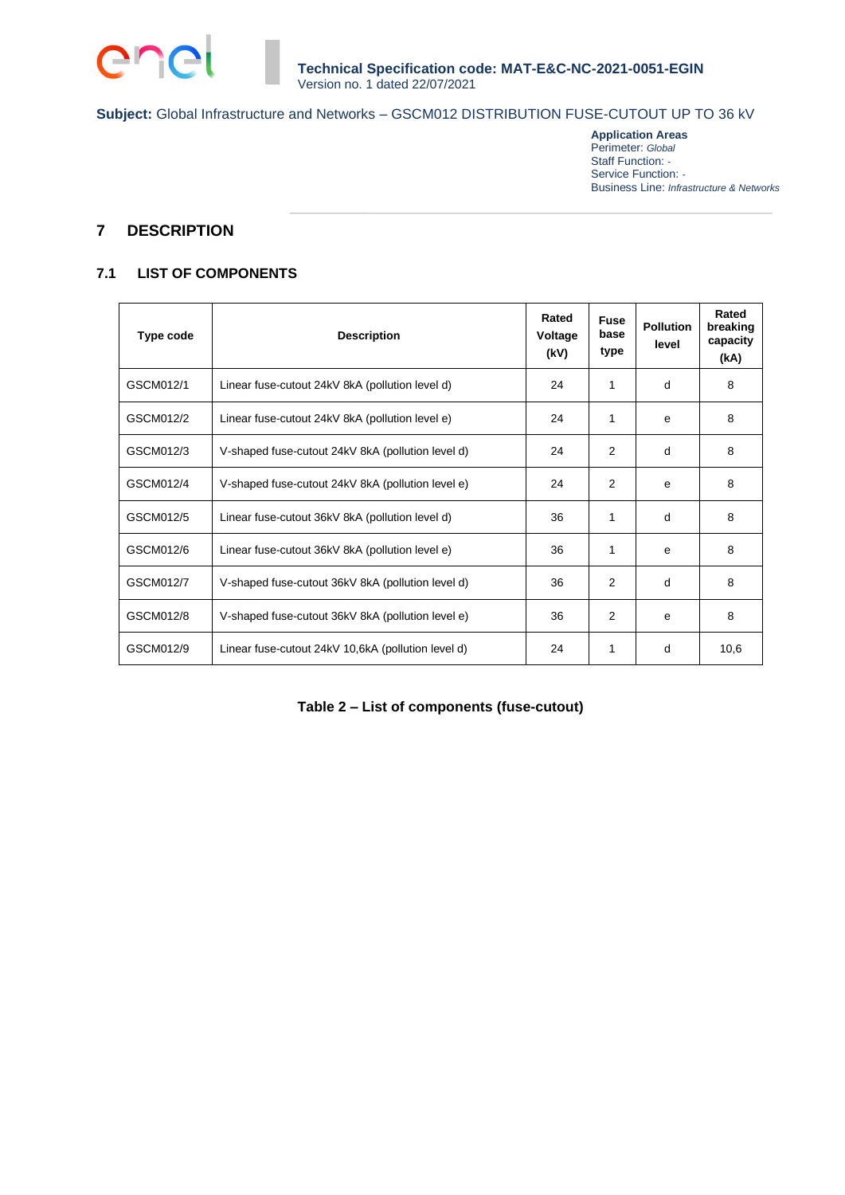

**Application Areas** Perimeter: *Global* Staff Function: *-* Service Function: *-* Business Line: *Infrastructure & Networks*

# **7 DESCRIPTION**

# **7.1 LIST OF COMPONENTS**

| Type code | <b>Description</b>                                 | Rated<br>Voltage<br>(kV) | <b>Fuse</b><br>base<br>type | <b>Pollution</b><br>level | Rated<br>breaking<br>capacity<br>(kA) |
|-----------|----------------------------------------------------|--------------------------|-----------------------------|---------------------------|---------------------------------------|
| GSCM012/1 | Linear fuse-cutout 24kV 8kA (pollution level d)    | 24                       | 1                           | d                         | 8                                     |
| GSCM012/2 | Linear fuse-cutout 24kV 8kA (pollution level e)    | 24                       | 1                           | e                         | 8                                     |
| GSCM012/3 | V-shaped fuse-cutout 24kV 8kA (pollution level d)  | 24                       | $\mathfrak{p}$              | d                         | 8                                     |
| GSCM012/4 | V-shaped fuse-cutout 24kV 8kA (pollution level e)  | 24                       | 2                           | e                         | 8                                     |
| GSCM012/5 | Linear fuse-cutout 36kV 8kA (pollution level d)    | 36                       | 1                           | d                         | 8                                     |
| GSCM012/6 | Linear fuse-cutout 36kV 8kA (pollution level e)    | 36                       | 1                           | e                         | 8                                     |
| GSCM012/7 | V-shaped fuse-cutout 36kV 8kA (pollution level d)  | 36                       | 2                           | d                         | 8                                     |
| GSCM012/8 | V-shaped fuse-cutout 36kV 8kA (pollution level e)  | 36                       | 2                           | e                         | 8                                     |
| GSCM012/9 | Linear fuse-cutout 24kV 10,6kA (pollution level d) | 24                       | 1                           | d                         | 10,6                                  |

### **Table 2 – List of components (fuse-cutout)**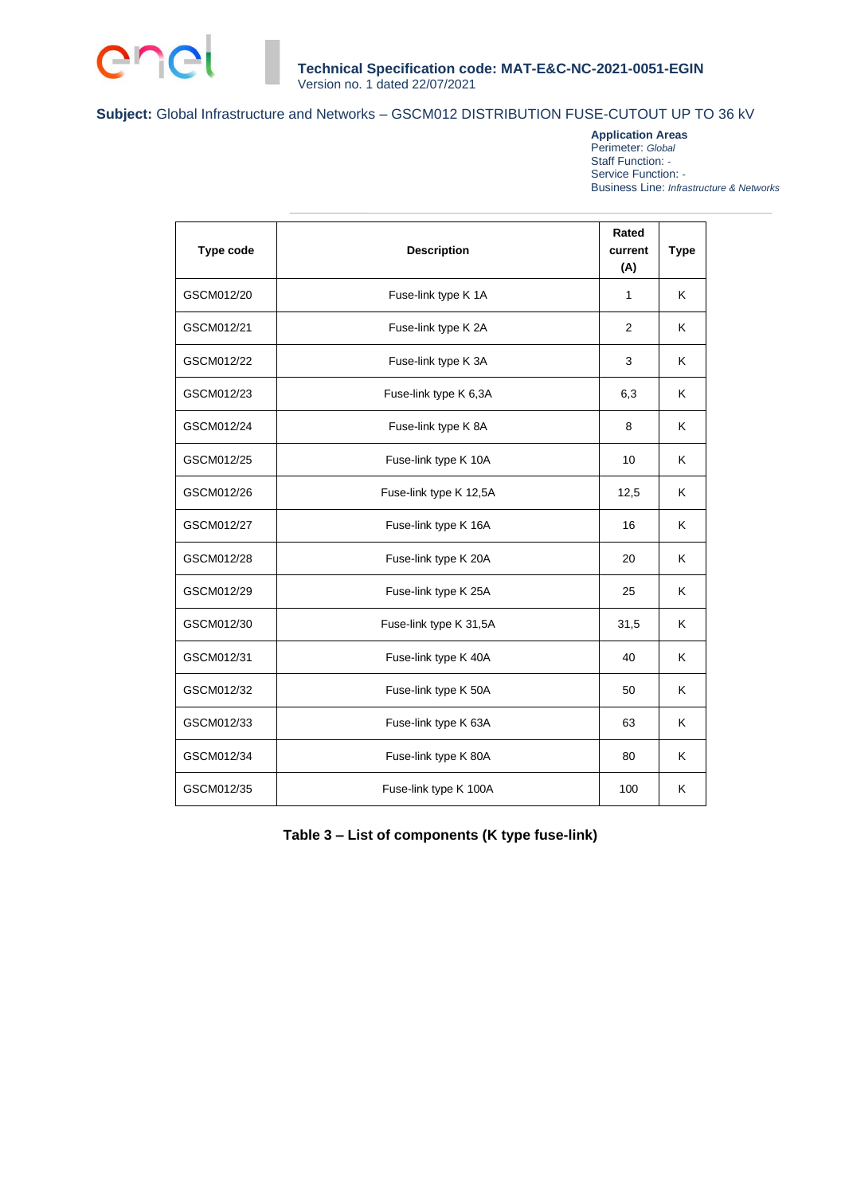

**Application Areas** Perimeter: *Global* Staff Function: *-* Service Function: *-* Business Line: *Infrastructure & Networks*

| Type code  | <b>Description</b>     | Rated<br>current<br>(A) | <b>Type</b> |
|------------|------------------------|-------------------------|-------------|
| GSCM012/20 | Fuse-link type K 1A    | 1                       | Κ           |
| GSCM012/21 | Fuse-link type K 2A    | 2                       | Κ           |
| GSCM012/22 | Fuse-link type K 3A    | 3                       | Κ           |
| GSCM012/23 | Fuse-link type K 6,3A  | 6,3                     | Κ           |
| GSCM012/24 | Fuse-link type K 8A    | 8                       | K           |
| GSCM012/25 | Fuse-link type K 10A   | 10                      | Κ           |
| GSCM012/26 | Fuse-link type K 12,5A | 12,5                    | K           |
| GSCM012/27 | Fuse-link type K 16A   | 16                      | K           |
| GSCM012/28 | Fuse-link type K 20A   | 20                      | Κ           |
| GSCM012/29 | Fuse-link type K 25A   | 25                      | K           |
| GSCM012/30 | Fuse-link type K 31,5A | 31,5                    | K           |
| GSCM012/31 | Fuse-link type K 40A   | 40                      | K           |
| GSCM012/32 | Fuse-link type K 50A   | 50                      | K.          |
| GSCM012/33 | Fuse-link type K 63A   | 63                      | Κ           |
| GSCM012/34 | Fuse-link type K 80A   | 80                      | K           |
| GSCM012/35 | Fuse-link type K 100A  | 100                     | Κ           |

**Table 3 – List of components (K type fuse-link)**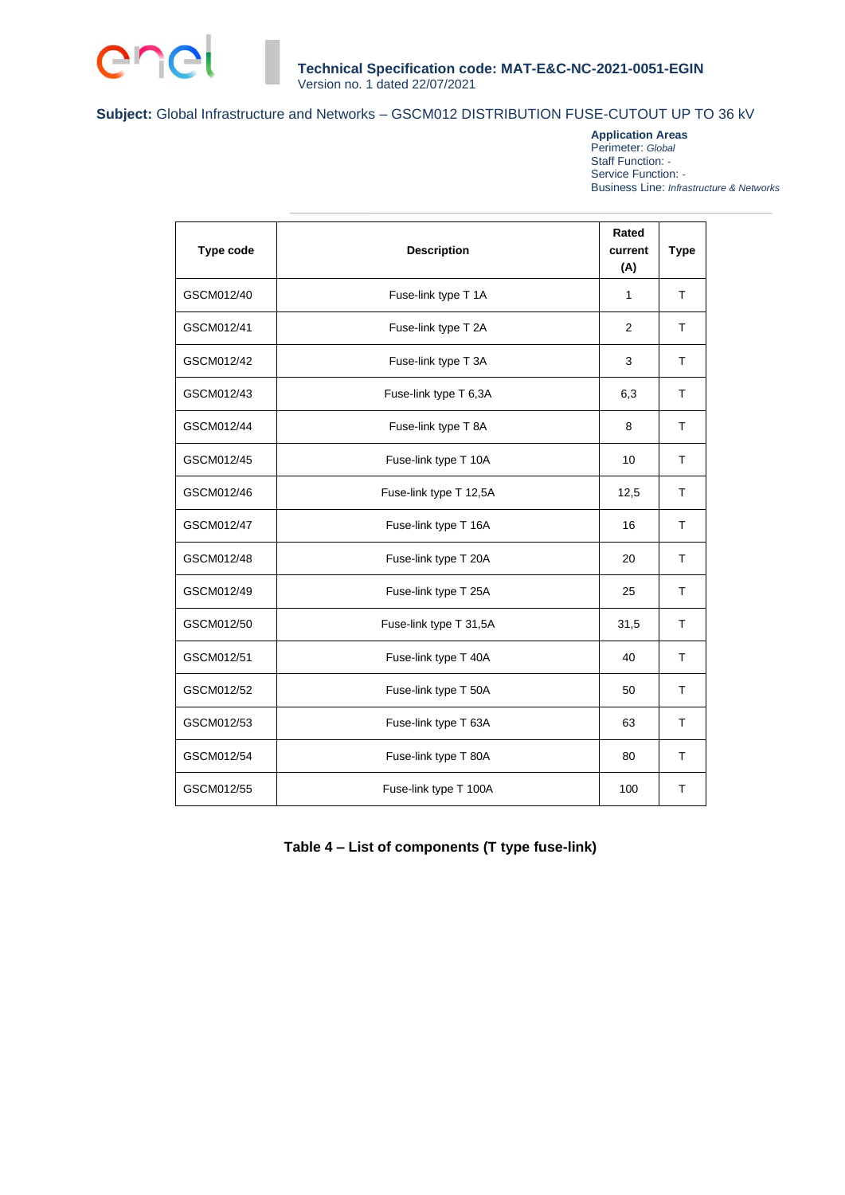

**Application Areas** Perimeter: *Global* Staff Function: *-* Service Function: *-* Business Line: *Infrastructure & Networks*

| <b>Type code</b> | <b>Description</b>     | Rated<br>current<br>(A) | <b>Type</b>  |
|------------------|------------------------|-------------------------|--------------|
| GSCM012/40       | Fuse-link type T 1A    | 1                       | T            |
| GSCM012/41       | Fuse-link type T 2A    | 2                       | T            |
| GSCM012/42       | Fuse-link type T 3A    | 3                       | T            |
| GSCM012/43       | Fuse-link type T 6,3A  | 6,3                     | т            |
| GSCM012/44       | Fuse-link type T 8A    | 8                       | т            |
| GSCM012/45       | Fuse-link type T 10A   | 10                      | T            |
| GSCM012/46       | Fuse-link type T 12,5A | 12,5                    | T            |
| GSCM012/47       | Fuse-link type T 16A   | 16                      | T            |
| GSCM012/48       | Fuse-link type T 20A   | 20                      | т            |
| GSCM012/49       | Fuse-link type T 25A   | 25                      | $\mathsf{T}$ |
| GSCM012/50       | Fuse-link type T 31,5A | 31,5                    | T            |
| GSCM012/51       | Fuse-link type T 40A   | 40                      | T            |
| GSCM012/52       | Fuse-link type T 50A   | 50                      | T            |
| GSCM012/53       | Fuse-link type T 63A   | 63                      | т            |
| GSCM012/54       | Fuse-link type T 80A   | 80                      | т            |
| GSCM012/55       | Fuse-link type T 100A  | 100                     | т            |

# **Table 4 – List of components (T type fuse-link)**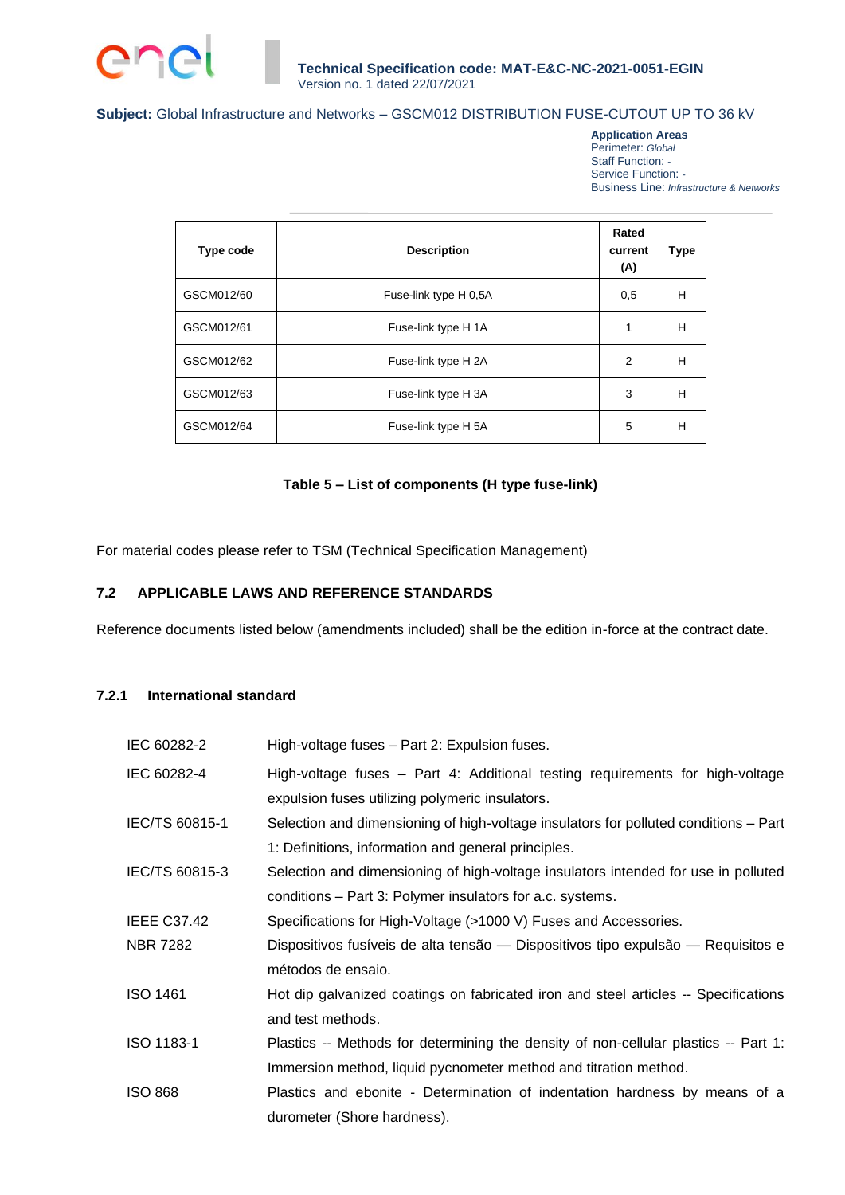

**Application Areas** Perimeter: *Global* Staff Function: *-* Service Function: *-* Business Line: *Infrastructure & Networks*

| Type code  | <b>Description</b>    | Rated<br>current<br>(A) | <b>Type</b> |
|------------|-----------------------|-------------------------|-------------|
| GSCM012/60 | Fuse-link type H 0,5A | 0,5                     | Н           |
| GSCM012/61 | Fuse-link type H 1A   | 1                       | Н           |
| GSCM012/62 | Fuse-link type H 2A   | 2                       | Н           |
| GSCM012/63 | Fuse-link type H 3A   | 3                       | Н           |
| GSCM012/64 | Fuse-link type H 5A   | 5                       | H           |

### **Table 5 – List of components (H type fuse-link)**

For material codes please refer to TSM (Technical Specification Management)

### **7.2 APPLICABLE LAWS AND REFERENCE STANDARDS**

Reference documents listed below (amendments included) shall be the edition in-force at the contract date.

# **7.2.1 International standard**

| IEC 60282-2        | High-voltage fuses - Part 2: Expulsion fuses.                                        |
|--------------------|--------------------------------------------------------------------------------------|
| IEC 60282-4        | High-voltage fuses - Part 4: Additional testing requirements for high-voltage        |
|                    | expulsion fuses utilizing polymeric insulators.                                      |
| IEC/TS 60815-1     | Selection and dimensioning of high-voltage insulators for polluted conditions – Part |
|                    | 1: Definitions, information and general principles.                                  |
| IEC/TS 60815-3     | Selection and dimensioning of high-voltage insulators intended for use in polluted   |
|                    | conditions - Part 3: Polymer insulators for a.c. systems.                            |
| <b>IEEE C37.42</b> | Specifications for High-Voltage (>1000 V) Fuses and Accessories.                     |
| <b>NBR 7282</b>    | Dispositivos fusíveis de alta tensão — Dispositivos tipo expulsão — Requisitos e     |
|                    | métodos de ensaio.                                                                   |
| <b>ISO 1461</b>    | Hot dip galvanized coatings on fabricated iron and steel articles -- Specifications  |
|                    | and test methods.                                                                    |
| ISO 1183-1         | Plastics -- Methods for determining the density of non-cellular plastics -- Part 1:  |
|                    | Immersion method, liquid pycnometer method and titration method.                     |
| <b>ISO 868</b>     | Plastics and ebonite - Determination of indentation hardness by means of a           |
|                    | durometer (Shore hardness).                                                          |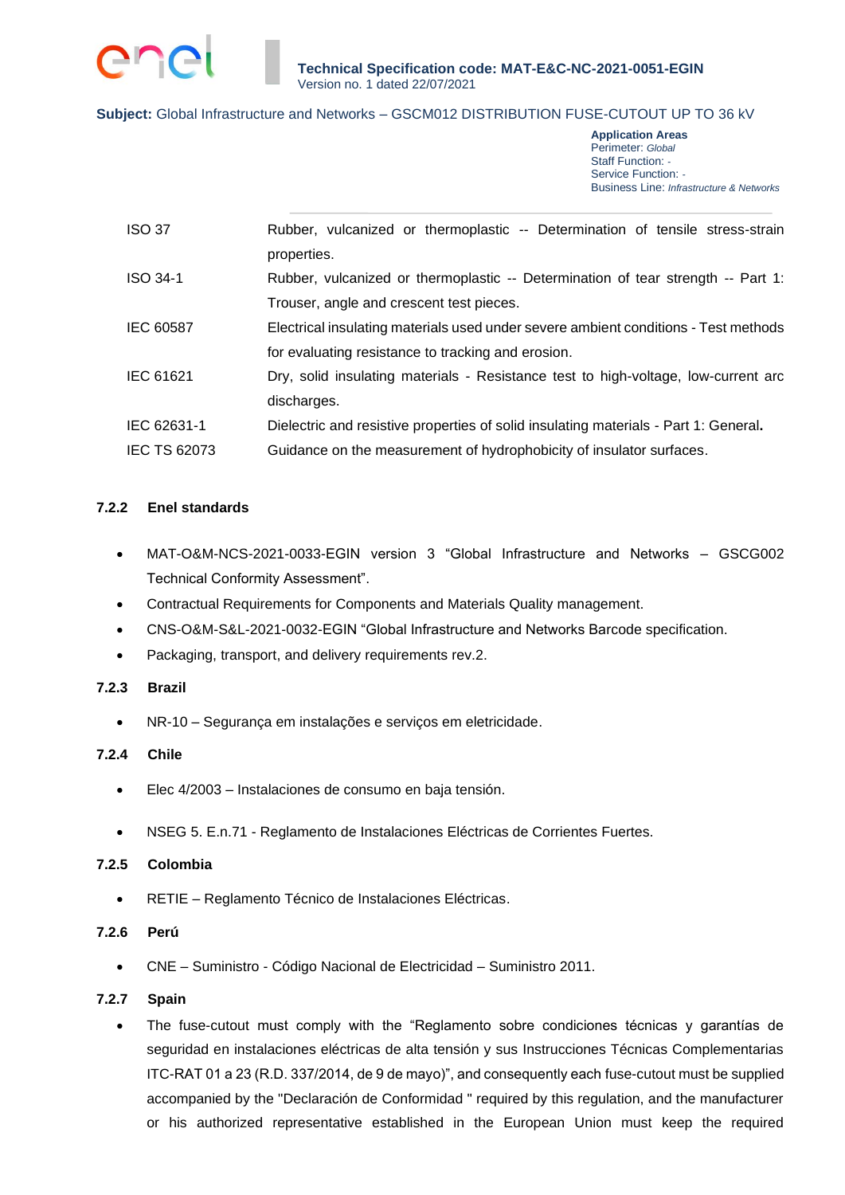

**Application Areas** Perimeter: *Global* Staff Function: *-* Service Function: *-* Business Line: *Infrastructure & Networks*

| <b>ISO 37</b>       | Rubber, vulcanized or thermoplastic -- Determination of tensile stress-strain        |
|---------------------|--------------------------------------------------------------------------------------|
|                     | properties.                                                                          |
| ISO 34-1            | Rubber, vulcanized or thermoplastic -- Determination of tear strength -- Part 1:     |
|                     | Trouser, angle and crescent test pieces.                                             |
| <b>IEC 60587</b>    | Electrical insulating materials used under severe ambient conditions - Test methods  |
|                     | for evaluating resistance to tracking and erosion.                                   |
| IEC 61621           | Dry, solid insulating materials - Resistance test to high-voltage, low-current arc   |
|                     | discharges.                                                                          |
| IEC 62631-1         | Dielectric and resistive properties of solid insulating materials - Part 1: General. |
| <b>IEC TS 62073</b> | Guidance on the measurement of hydrophobicity of insulator surfaces.                 |

### **7.2.2 Enel standards**

- MAT-O&M-NCS-2021-0033-EGIN version 3 "Global Infrastructure and Networks GSCG002 Technical Conformity Assessment".
- Contractual Requirements for Components and Materials Quality management.
- CNS-O&M-S&L-2021-0032-EGIN "Global Infrastructure and Networks Barcode specification.
- Packaging, transport, and delivery requirements rev.2.

#### **7.2.3 Brazil**

• NR-10 – Segurança em instalações e serviços em eletricidade.

### **7.2.4 Chile**

- Elec 4/2003 Instalaciones de consumo en baja tensión.
- NSEG 5. E.n.71 Reglamento de Instalaciones Eléctricas de Corrientes Fuertes.

#### **7.2.5 Colombia**

• RETIE – Reglamento Técnico de Instalaciones Eléctricas.

#### **7.2.6 Perú**

• CNE – Suministro - Código Nacional de Electricidad – Suministro 2011.

#### **7.2.7 Spain**

• The fuse-cutout must comply with the "Reglamento sobre condiciones técnicas y garantías de seguridad en instalaciones eléctricas de alta tensión y sus Instrucciones Técnicas Complementarias ITC-RAT 01 a 23 (R.D. 337/2014, de 9 de mayo)", and consequently each fuse-cutout must be supplied accompanied by the "Declaración de Conformidad " required by this regulation, and the manufacturer or his authorized representative established in the European Union must keep the required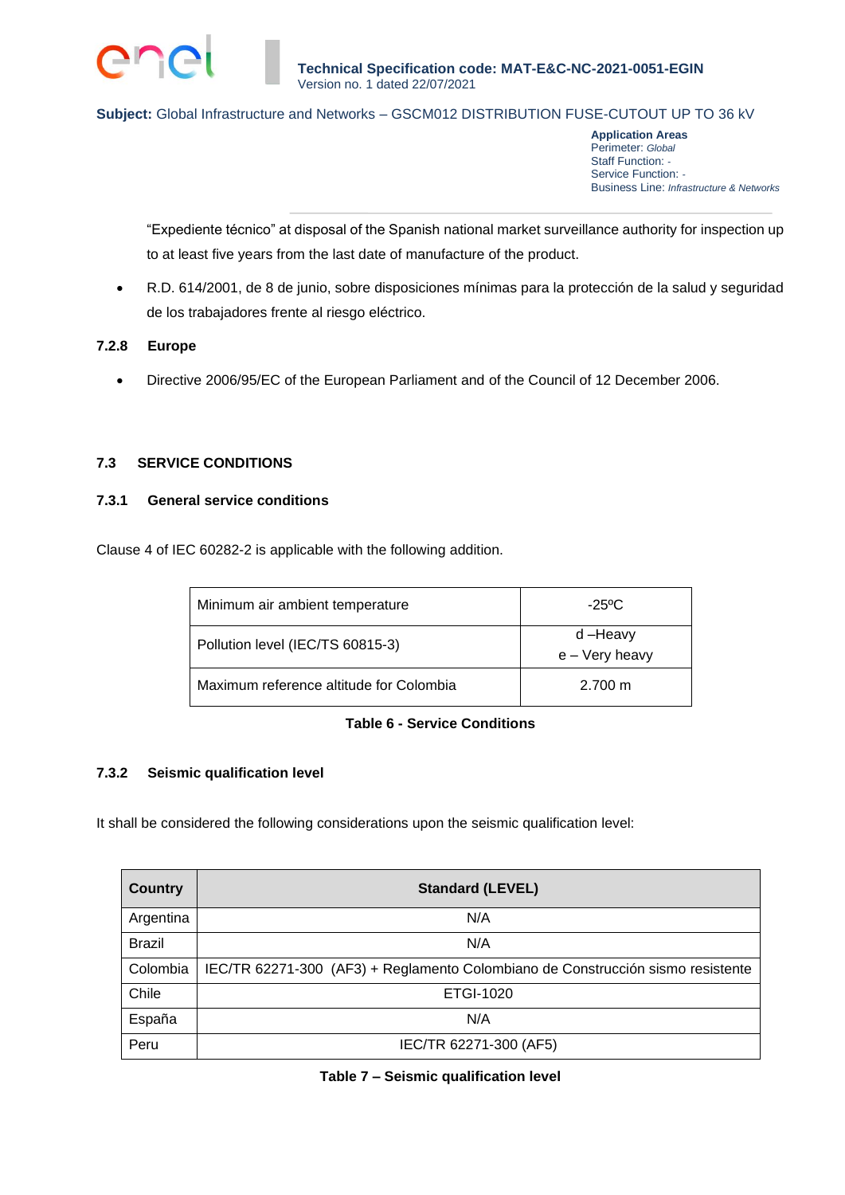

**Application Areas** Perimeter: *Global* Staff Function: *-* Service Function: *-* Business Line: *Infrastructure & Networks*

"Expediente técnico" at disposal of the Spanish national market surveillance authority for inspection up to at least five years from the last date of manufacture of the product.

• R.D. 614/2001, de 8 de junio, sobre disposiciones mínimas para la protección de la salud y seguridad de los trabajadores frente al riesgo eléctrico.

### **7.2.8 Europe**

• Directive 2006/95/EC of the European Parliament and of the Council of 12 December 2006.

### **7.3 SERVICE CONDITIONS**

#### **7.3.1 General service conditions**

Clause 4 of IEC 60282-2 is applicable with the following addition.

| Minimum air ambient temperature         | $-25\degree$ C            |
|-----------------------------------------|---------------------------|
| Pollution level (IEC/TS 60815-3)        | d-Heavy<br>e - Very heavy |
| Maximum reference altitude for Colombia | $2.700 \text{ m}$         |

### **Table 6 - Service Conditions**

### **7.3.2 Seismic qualification level**

It shall be considered the following considerations upon the seismic qualification level:

| <b>Country</b> | <b>Standard (LEVEL)</b>                                                         |
|----------------|---------------------------------------------------------------------------------|
| Argentina      | N/A                                                                             |
| <b>Brazil</b>  | N/A                                                                             |
| Colombia       | IEC/TR 62271-300 (AF3) + Reglamento Colombiano de Construcción sismo resistente |
| Chile          | ETGI-1020                                                                       |
| España         | N/A                                                                             |
| Peru           | IEC/TR 62271-300 (AF5)                                                          |

#### **Table 7 – Seismic qualification level**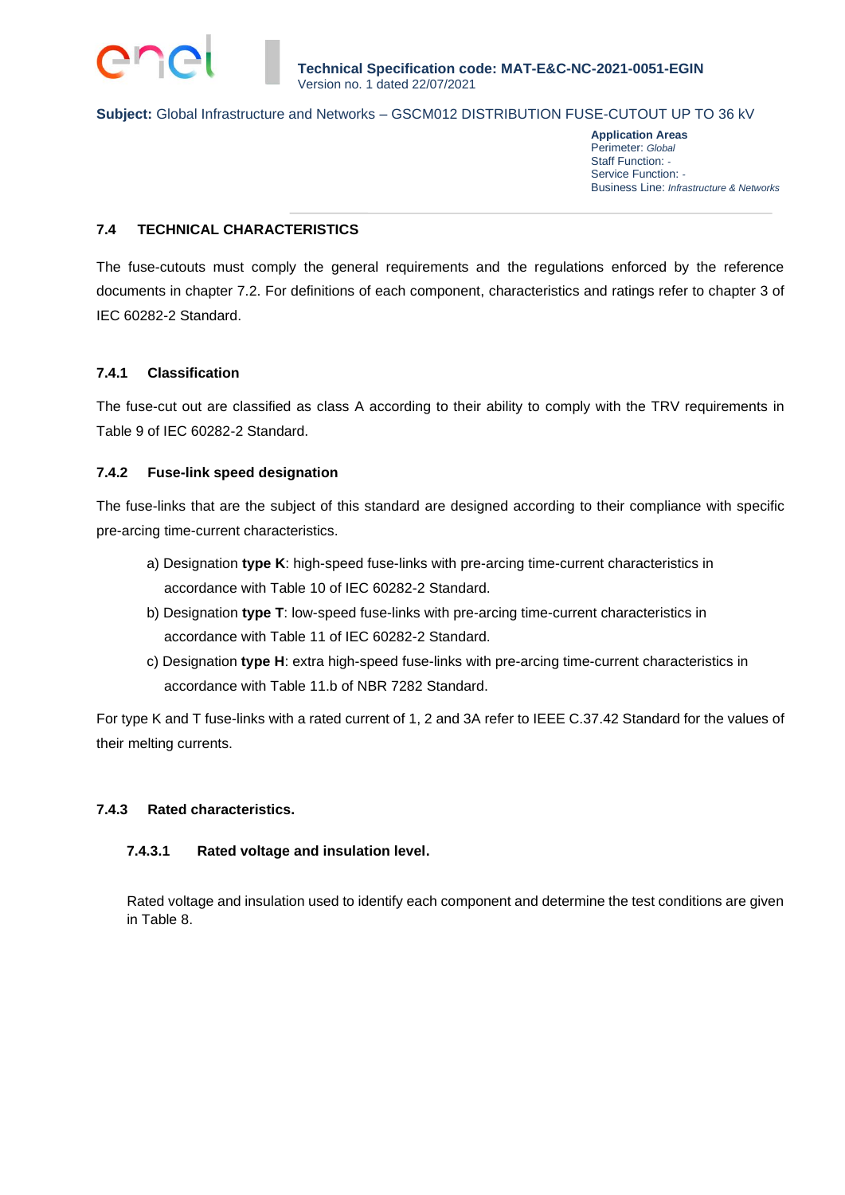**Application Areas** Perimeter: *Global* Staff Function: *-* Service Function: *-* Business Line: *Infrastructure & Networks*

### **7.4 TECHNICAL CHARACTERISTICS**

The fuse-cutouts must comply the general requirements and the regulations enforced by the reference documents in chapter 7.2. For definitions of each component, characteristics and ratings refer to chapter 3 of IEC 60282-2 Standard.

### **7.4.1 Classification**

The fuse-cut out are classified as class A according to their ability to comply with the TRV requirements in Table 9 of IEC 60282-2 Standard.

### **7.4.2 Fuse-link speed designation**

The fuse-links that are the subject of this standard are designed according to their compliance with specific pre-arcing time-current characteristics.

- a) Designation **type K**: high-speed fuse-links with pre-arcing time-current characteristics in accordance with Table 10 of IEC 60282-2 Standard.
- b) Designation **type T**: low-speed fuse-links with pre-arcing time-current characteristics in accordance with Table 11 of IEC 60282-2 Standard.
- c) Designation **type H**: extra high-speed fuse-links with pre-arcing time-current characteristics in accordance with Table 11.b of NBR 7282 Standard.

For type K and T fuse-links with a rated current of 1, 2 and 3A refer to IEEE C.37.42 Standard for the values of their melting currents.

#### **7.4.3 Rated characteristics.**

### **7.4.3.1 Rated voltage and insulation level.**

Rated voltage and insulation used to identify each component and determine the test conditions are given in Table 8.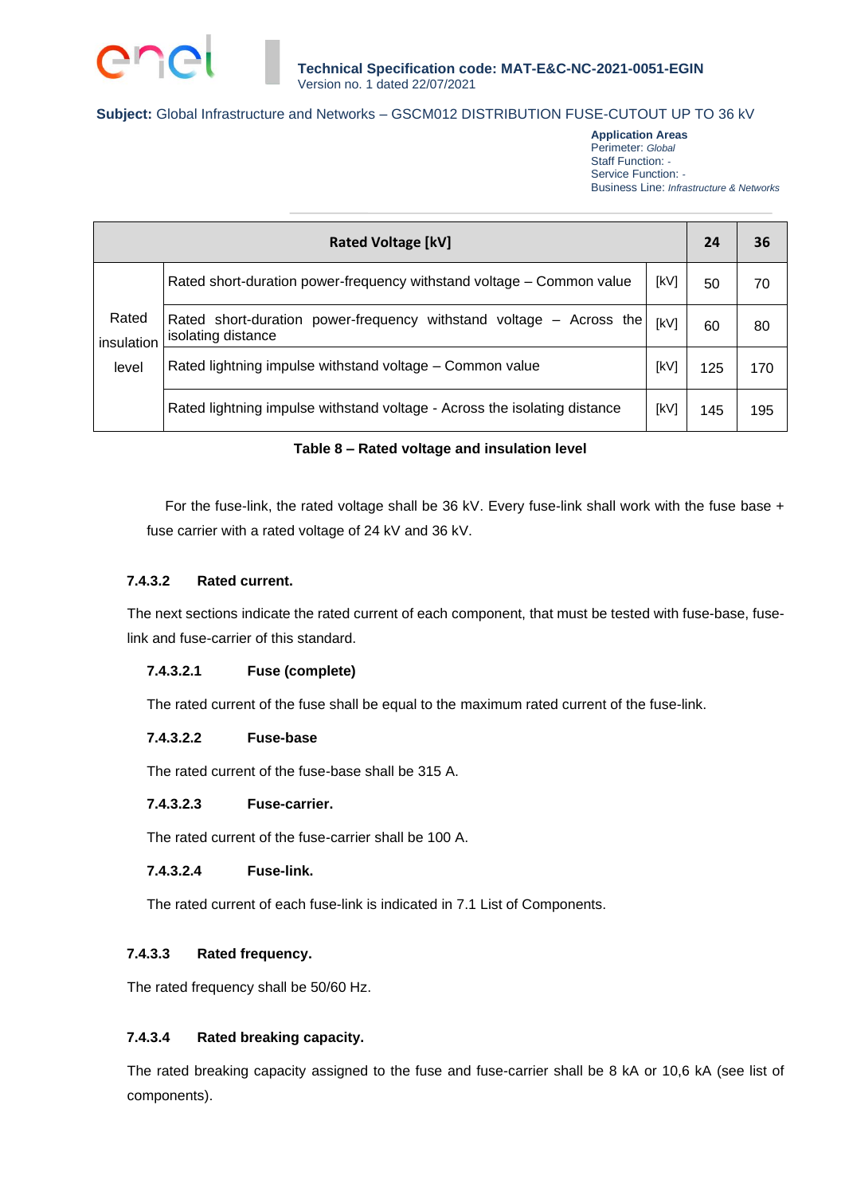

**Application Areas** Perimeter: *Global* Staff Function: *-* Service Function: *-* Business Line: *Infrastructure & Networks*

| <b>Rated Voltage [kV]</b> |                                                                                           |      |     |     |
|---------------------------|-------------------------------------------------------------------------------------------|------|-----|-----|
|                           | Rated short-duration power-frequency withstand voltage - Common value                     | [kV] | 50  | 70  |
| Rated<br>insulation       | Rated short-duration power-frequency withstand voltage – Across the<br>isolating distance | [kV] | 60  | 80  |
| level                     | Rated lightning impulse withstand voltage - Common value                                  | [kV] | 125 | 170 |
|                           | Rated lightning impulse withstand voltage - Across the isolating distance                 | [kV] | 145 | 195 |

### **Table 8 – Rated voltage and insulation level**

For the fuse-link, the rated voltage shall be 36 kV. Every fuse-link shall work with the fuse base + fuse carrier with a rated voltage of 24 kV and 36 kV.

### **7.4.3.2 Rated current.**

The next sections indicate the rated current of each component, that must be tested with fuse-base, fuselink and fuse-carrier of this standard.

#### **7.4.3.2.1 Fuse (complete)**

The rated current of the fuse shall be equal to the maximum rated current of the fuse-link.

#### **7.4.3.2.2 Fuse-base**

The rated current of the fuse-base shall be 315 A.

#### **7.4.3.2.3 Fuse-carrier.**

The rated current of the fuse-carrier shall be 100 A.

### **7.4.3.2.4 Fuse-link.**

The rated current of each fuse-link is indicated in 7.1 List of Components.

### **7.4.3.3 Rated frequency.**

The rated frequency shall be 50/60 Hz.

### **7.4.3.4 Rated breaking capacity.**

The rated breaking capacity assigned to the fuse and fuse-carrier shall be 8 kA or 10,6 kA (see list of components).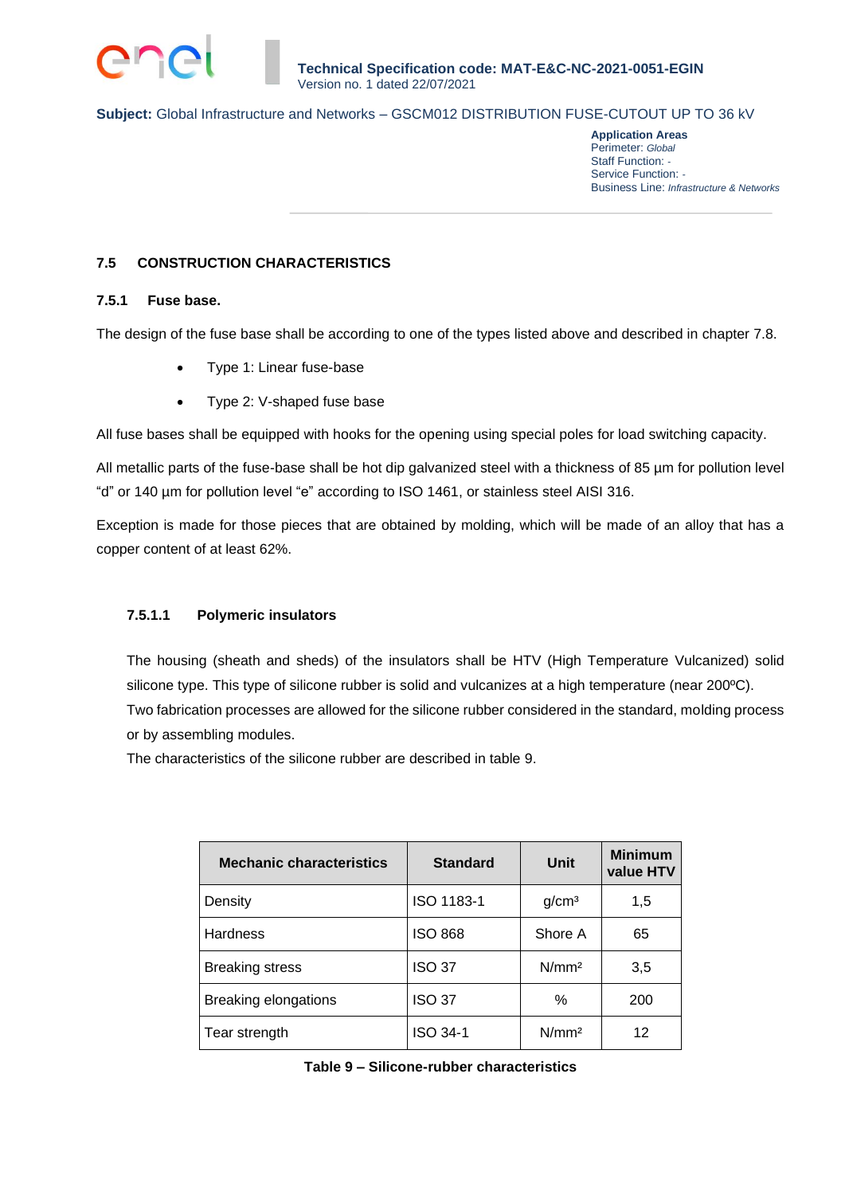**Application Areas** Perimeter: *Global* Staff Function: *-* Service Function: *-* Business Line: *Infrastructure & Networks*

# **7.5 CONSTRUCTION CHARACTERISTICS**

### **7.5.1 Fuse base.**

The design of the fuse base shall be according to one of the types listed above and described in chapter 7.8.

- Type 1: Linear fuse-base
- Type 2: V-shaped fuse base

All fuse bases shall be equipped with hooks for the opening using special poles for load switching capacity.

All metallic parts of the fuse-base shall be hot dip galvanized steel with a thickness of 85 µm for pollution level "d" or 140 µm for pollution level "e" according to ISO 1461, or stainless steel AISI 316.

Exception is made for those pieces that are obtained by molding, which will be made of an alloy that has a copper content of at least 62%.

### **7.5.1.1 Polymeric insulators**

The housing (sheath and sheds) of the insulators shall be HTV (High Temperature Vulcanized) solid silicone type. This type of silicone rubber is solid and vulcanizes at a high temperature (near 200ºC). Two fabrication processes are allowed for the silicone rubber considered in the standard, molding process or by assembling modules.

The characteristics of the silicone rubber are described in table 9.

| <b>Mechanic characteristics</b> | <b>Standard</b> | Unit              | <b>Minimum</b><br>value HTV |
|---------------------------------|-----------------|-------------------|-----------------------------|
| Density                         | ISO 1183-1      | g/cm <sup>3</sup> | 1,5                         |
| <b>Hardness</b>                 | <b>ISO 868</b>  | Shore A           | 65                          |
| <b>Breaking stress</b>          | <b>ISO 37</b>   | N/mm <sup>2</sup> | 3,5                         |
| Breaking elongations            | <b>ISO 37</b>   | ℅                 | 200                         |
| Tear strength                   | ISO 34-1        | N/mm <sup>2</sup> | 12                          |

**Table 9 – Silicone-rubber characteristics**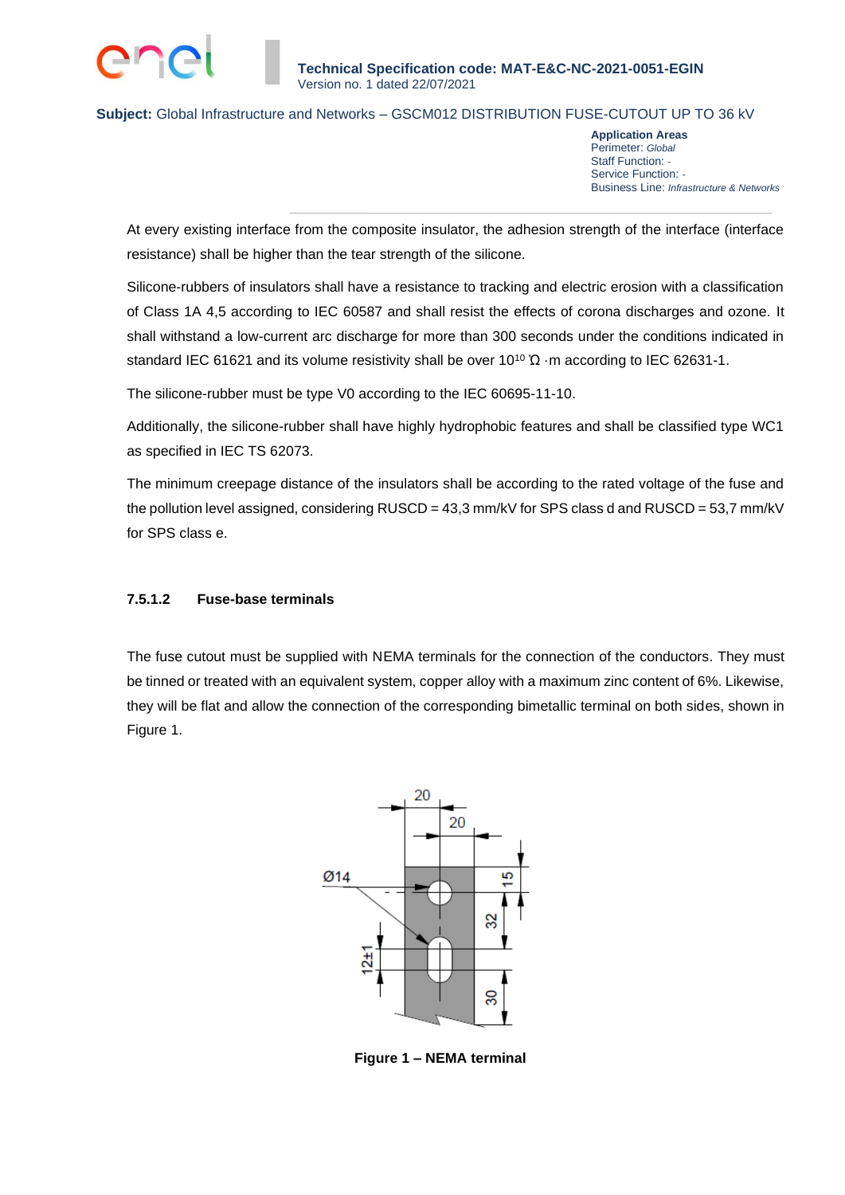

**Application Areas** Perimeter: *Global* Staff Function: *-* Service Function: *-* Business Line: *Infrastructure & Networks*

At every existing interface from the composite insulator, the adhesion strength of the interface (interface resistance) shall be higher than the tear strength of the silicone.

Silicone-rubbers of insulators shall have a resistance to tracking and electric erosion with a classification of Class 1A 4,5 according to IEC 60587 and shall resist the effects of corona discharges and ozone. It shall withstand a low-current arc discharge for more than 300 seconds under the conditions indicated in standard IEC 61621 and its volume resistivity shall be over 10<sup>10</sup>  $\Omega$  ·m according to IEC 62631-1.

The silicone-rubber must be type V0 according to the IEC 60695-11-10.

Additionally, the silicone-rubber shall have highly hydrophobic features and shall be classified type WC1 as specified in IEC TS 62073.

The minimum creepage distance of the insulators shall be according to the rated voltage of the fuse and the pollution level assigned, considering  $RUSCD = 43,3$  mm/kV for SPS class d and  $RUSCD = 53,7$  mm/kV for SPS class e.

### **7.5.1.2 Fuse-base terminals**

The fuse cutout must be supplied with NEMA terminals for the connection of the conductors. They must be tinned or treated with an equivalent system, copper alloy with a maximum zinc content of 6%. Likewise, they will be flat and allow the connection of the corresponding bimetallic terminal on both sides, shown in Figure 1.



**Figure 1 – NEMA terminal**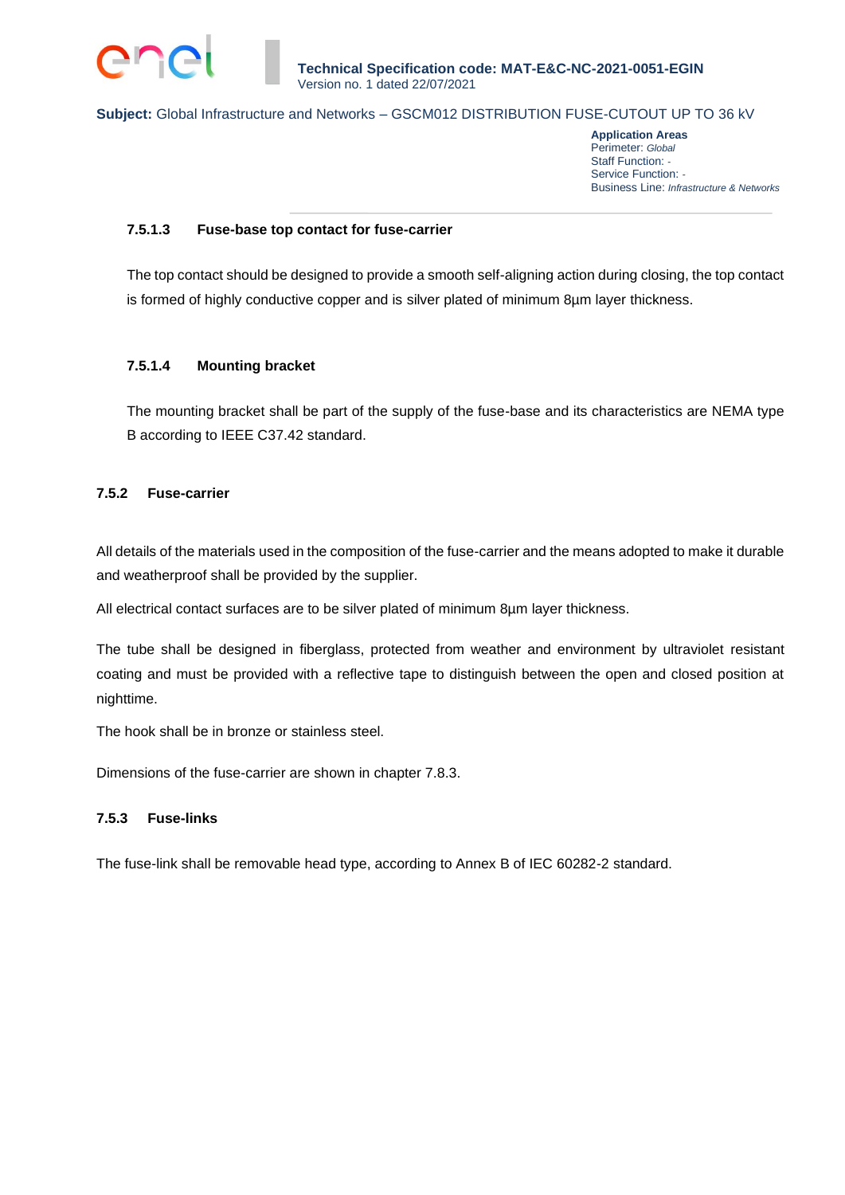

**Application Areas** Perimeter: *Global* Staff Function: *-* Service Function: *-* Business Line: *Infrastructure & Networks*

### **7.5.1.3 Fuse-base top contact for fuse-carrier**

The top contact should be designed to provide a smooth self-aligning action during closing, the top contact is formed of highly conductive copper and is silver plated of minimum 8µm layer thickness.

### **7.5.1.4 Mounting bracket**

The mounting bracket shall be part of the supply of the fuse-base and its characteristics are NEMA type B according to IEEE C37.42 standard.

### **7.5.2 Fuse-carrier**

All details of the materials used in the composition of the fuse-carrier and the means adopted to make it durable and weatherproof shall be provided by the supplier.

All electrical contact surfaces are to be silver plated of minimum 8µm layer thickness.

The tube shall be designed in fiberglass, protected from weather and environment by ultraviolet resistant coating and must be provided with a reflective tape to distinguish between the open and closed position at nighttime.

The hook shall be in bronze or stainless steel.

Dimensions of the fuse-carrier are shown in chapter 7.8.3.

### **7.5.3 Fuse-links**

The fuse-link shall be removable head type, according to Annex B of IEC 60282-2 standard.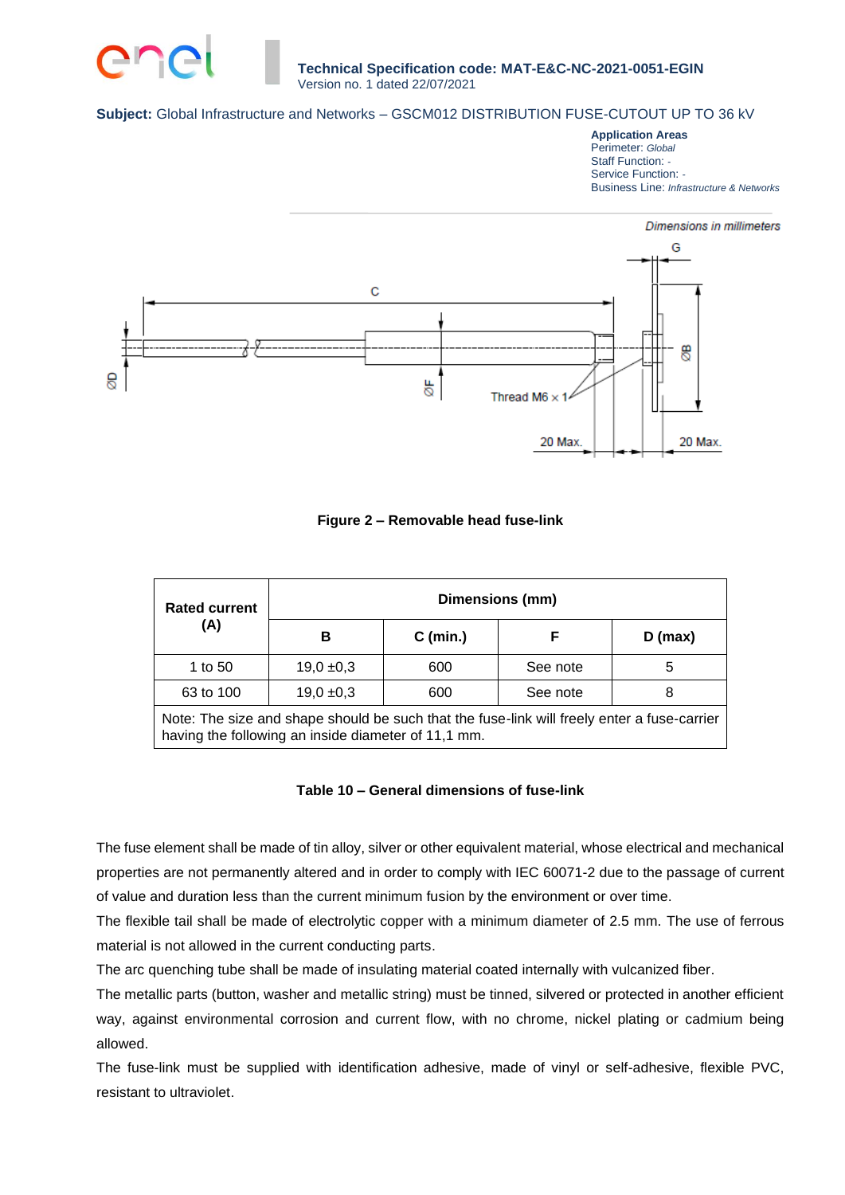

**Application Areas** Perimeter: *Global* Staff Function: *-* Service Function: *-* Business Line: *Infrastructure & Networks*



### **Figure 2 – Removable head fuse-link**

| <b>Rated current</b>                                                                                                                               | Dimensions (mm)                      |            |          |           |  |  |  |
|----------------------------------------------------------------------------------------------------------------------------------------------------|--------------------------------------|------------|----------|-----------|--|--|--|
| (A)                                                                                                                                                | в                                    | $C$ (min.) | F        | $D$ (max) |  |  |  |
| 1 to 50                                                                                                                                            | $19,0 + 0,3$                         | 600        | See note | 5         |  |  |  |
| 63 to 100                                                                                                                                          | $19,0 + 0,3$<br>600<br>See note<br>8 |            |          |           |  |  |  |
| Note: The size and shape should be such that the fuse-link will freely enter a fuse-carrier<br>having the following an inside diameter of 11,1 mm. |                                      |            |          |           |  |  |  |

#### **Table 10 – General dimensions of fuse-link**

The fuse element shall be made of tin alloy, silver or other equivalent material, whose electrical and mechanical properties are not permanently altered and in order to comply with IEC 60071-2 due to the passage of current of value and duration less than the current minimum fusion by the environment or over time.

The flexible tail shall be made of electrolytic copper with a minimum diameter of 2.5 mm. The use of ferrous material is not allowed in the current conducting parts.

The arc quenching tube shall be made of insulating material coated internally with vulcanized fiber.

The metallic parts (button, washer and metallic string) must be tinned, silvered or protected in another efficient way, against environmental corrosion and current flow, with no chrome, nickel plating or cadmium being allowed.

The fuse-link must be supplied with identification adhesive, made of vinyl or self-adhesive, flexible PVC, resistant to ultraviolet.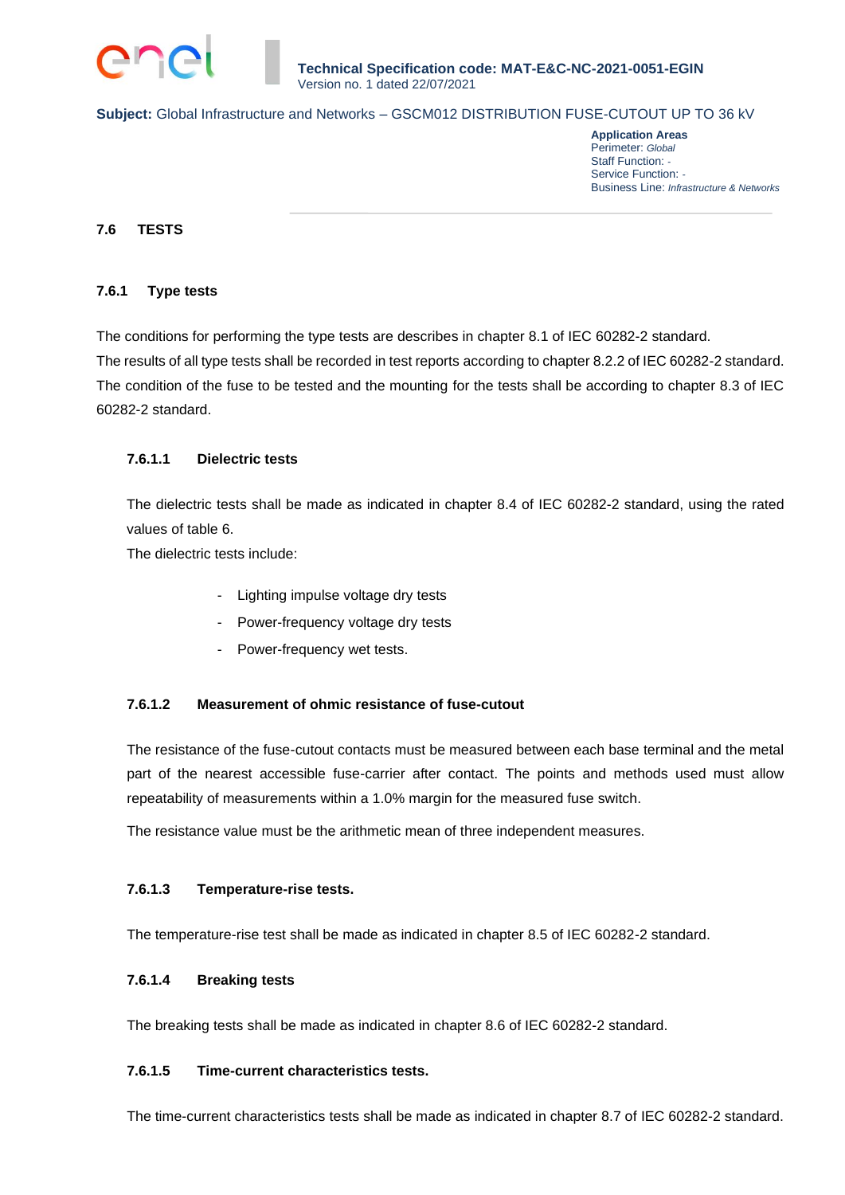

**Application Areas** Perimeter: *Global* Staff Function: *-* Service Function: *-* Business Line: *Infrastructure & Networks*

### **7.6 TESTS**

#### **7.6.1 Type tests**

The conditions for performing the type tests are describes in chapter 8.1 of IEC 60282-2 standard. The results of all type tests shall be recorded in test reports according to chapter 8.2.2 of IEC 60282-2 standard. The condition of the fuse to be tested and the mounting for the tests shall be according to chapter 8.3 of IEC 60282-2 standard.

### **7.6.1.1 Dielectric tests**

The dielectric tests shall be made as indicated in chapter 8.4 of IEC 60282-2 standard, using the rated values of table 6.

The dielectric tests include:

- Lighting impulse voltage dry tests
- Power-frequency voltage dry tests
- Power-frequency wet tests.

#### **7.6.1.2 Measurement of ohmic resistance of fuse-cutout**

The resistance of the fuse-cutout contacts must be measured between each base terminal and the metal part of the nearest accessible fuse-carrier after contact. The points and methods used must allow repeatability of measurements within a 1.0% margin for the measured fuse switch.

The resistance value must be the arithmetic mean of three independent measures.

#### **7.6.1.3 Temperature-rise tests.**

The temperature-rise test shall be made as indicated in chapter 8.5 of IEC 60282-2 standard.

#### **7.6.1.4 Breaking tests**

The breaking tests shall be made as indicated in chapter 8.6 of IEC 60282-2 standard.

#### **7.6.1.5 Time-current characteristics tests.**

The time-current characteristics tests shall be made as indicated in chapter 8.7 of IEC 60282-2 standard.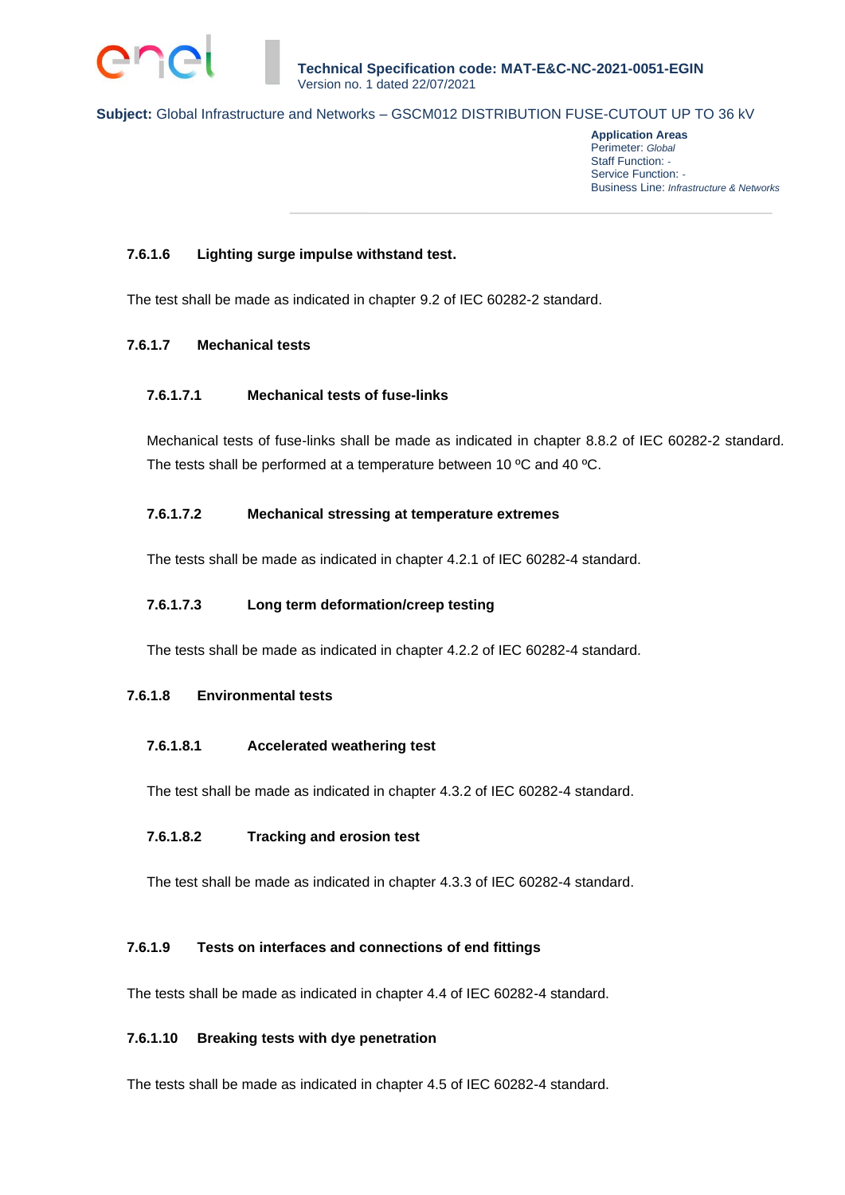

**Application Areas** Perimeter: *Global* Staff Function: *-* Service Function: *-* Business Line: *Infrastructure & Networks*

### **7.6.1.6 Lighting surge impulse withstand test.**

The test shall be made as indicated in chapter 9.2 of IEC 60282-2 standard.

### **7.6.1.7 Mechanical tests**

#### **7.6.1.7.1 Mechanical tests of fuse-links**

Mechanical tests of fuse-links shall be made as indicated in chapter 8.8.2 of IEC 60282-2 standard. The tests shall be performed at a temperature between 10 ºC and 40 ºC.

### **7.6.1.7.2 Mechanical stressing at temperature extremes**

The tests shall be made as indicated in chapter 4.2.1 of IEC 60282-4 standard.

### **7.6.1.7.3 Long term deformation/creep testing**

The tests shall be made as indicated in chapter 4.2.2 of IEC 60282-4 standard.

#### **7.6.1.8 Environmental tests**

#### **7.6.1.8.1 Accelerated weathering test**

The test shall be made as indicated in chapter 4.3.2 of IEC 60282-4 standard.

#### **7.6.1.8.2 Tracking and erosion test**

The test shall be made as indicated in chapter 4.3.3 of IEC 60282-4 standard.

### **7.6.1.9 Tests on interfaces and connections of end fittings**

The tests shall be made as indicated in chapter 4.4 of IEC 60282-4 standard.

### **7.6.1.10 Breaking tests with dye penetration**

The tests shall be made as indicated in chapter 4.5 of IEC 60282-4 standard.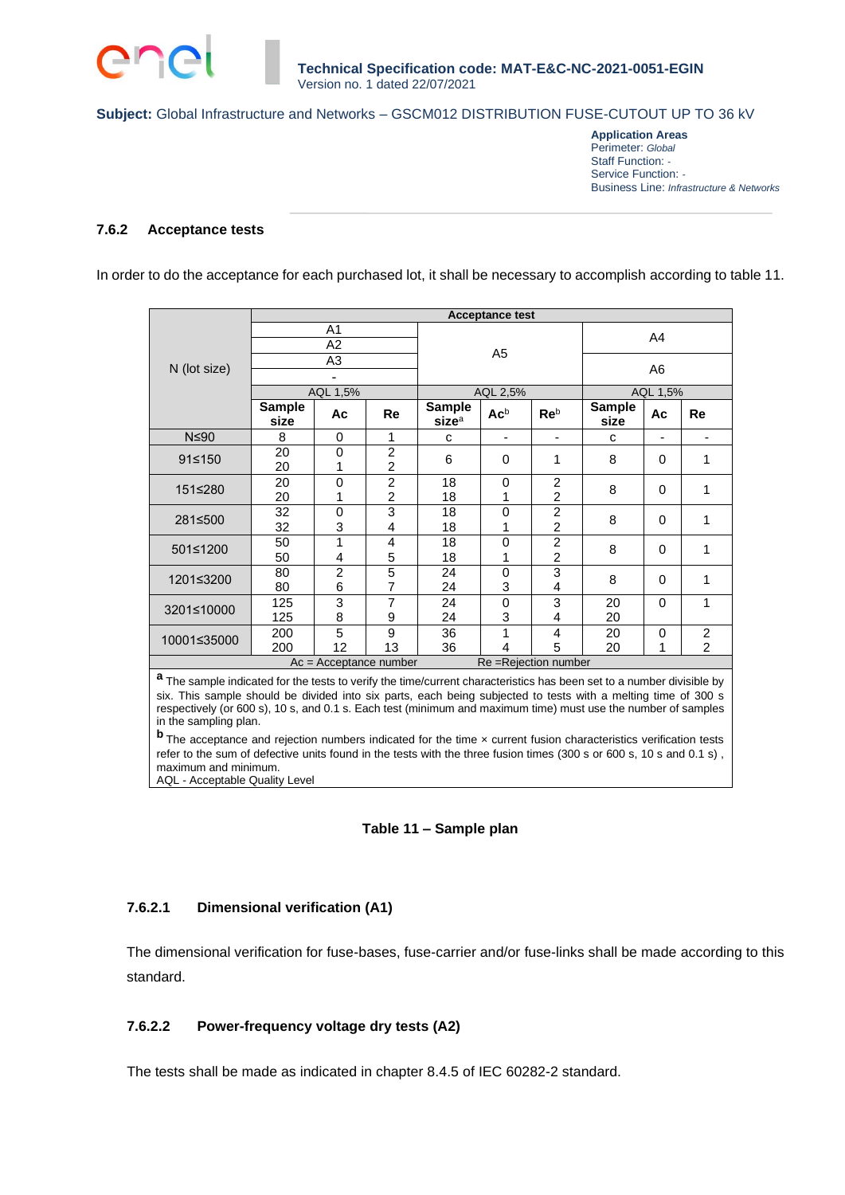**Application Areas** Perimeter: *Global* Staff Function: *-* Service Function: *-* Business Line: *Infrastructure & Networks*

#### **7.6.2 Acceptance tests**

In order to do the acceptance for each purchased lot, it shall be necessary to accomplish according to table 11.

|                                                   | <b>Acceptance test</b> |                     |                                  |                                    |                          |                                  |                       |          |                                  |
|---------------------------------------------------|------------------------|---------------------|----------------------------------|------------------------------------|--------------------------|----------------------------------|-----------------------|----------|----------------------------------|
|                                                   | A1<br>A2               |                     |                                  |                                    |                          |                                  | A4                    |          |                                  |
| N (lot size)                                      | A <sub>3</sub><br>۰    |                     |                                  | A <sub>5</sub>                     |                          |                                  | A6                    |          |                                  |
|                                                   | AQL 1,5%               |                     |                                  | AQL 2,5%                           |                          |                                  | AQL 1,5%              |          |                                  |
|                                                   | <b>Sample</b><br>size  | Ac                  | Re                               | <b>Sample</b><br>size <sup>a</sup> | $Ac^b$                   | Re <sup>b</sup>                  | <b>Sample</b><br>size | Ac       | Re                               |
| $N \leq 90$                                       | 8                      | 0                   | 1                                | C                                  | $\overline{\phantom{a}}$ | ٠                                | $\mathbf{C}$          | ٠        | ٠                                |
| 91≤150                                            | 20<br>20               | 0<br>1              | $\overline{2}$<br>2              | 6                                  | 0                        | 1                                | 8                     | $\Omega$ | 1                                |
| 151≤280                                           | 20<br>20               | 0<br>1              | $\overline{2}$<br>$\overline{c}$ | 18<br>18                           | 0<br>1                   | $\overline{c}$<br>$\overline{c}$ | 8                     | 0        | 1                                |
| 281≤500                                           | 32<br>32               | $\mathbf 0$<br>3    | 3<br>4                           | 18<br>18                           | $\Omega$<br>1            | $\overline{c}$<br>$\overline{c}$ | 8                     | 0        | 1                                |
| 501≤1200                                          | 50<br>50               | 1<br>4              | 4<br>5                           | 18<br>18                           | $\Omega$                 | $\overline{2}$<br>$\overline{c}$ | 8                     | 0        | 1                                |
| 1201≤3200                                         | 80<br>80               | $\overline{c}$<br>6 | 5<br>7                           | 24<br>24                           | 0<br>3                   | 3<br>4                           | 8                     | $\Omega$ | 1                                |
| 3201≤10000                                        | 125<br>125             | 3<br>8              | 7<br>9                           | 24<br>24                           | $\mathbf 0$<br>3         | 3<br>4                           | 20<br>20              | $\Omega$ | 1                                |
| 10001≤35000                                       | 200<br>200             | 5<br>12             | 9<br>13                          | 36<br>36                           | 1<br>4                   | 4<br>5                           | 20<br>20              | 0<br>1   | $\overline{2}$<br>$\overline{2}$ |
| Re = Rejection number<br>$Ac = Acceptance number$ |                        |                     |                                  |                                    |                          |                                  |                       |          |                                  |

**a** The sample indicated for the tests to verify the time/current characteristics has been set to a number divisible by six. This sample should be divided into six parts, each being subjected to tests with a melting time of 300 s respectively (or 600 s), 10 s, and 0.1 s. Each test (minimum and maximum time) must use the number of samples in the sampling plan.

**b** The acceptance and rejection numbers indicated for the time x current fusion characteristics verification tests refer to the sum of defective units found in the tests with the three fusion times (300 s or 600 s, 10 s and 0.1 s), maximum and minimum. AQL - Acceptable Quality Level

#### **Table 11 – Sample plan**

### **7.6.2.1 Dimensional verification (A1)**

The dimensional verification for fuse-bases, fuse-carrier and/or fuse-links shall be made according to this standard.

#### **7.6.2.2 Power-frequency voltage dry tests (A2)**

The tests shall be made as indicated in chapter 8.4.5 of IEC 60282-2 standard.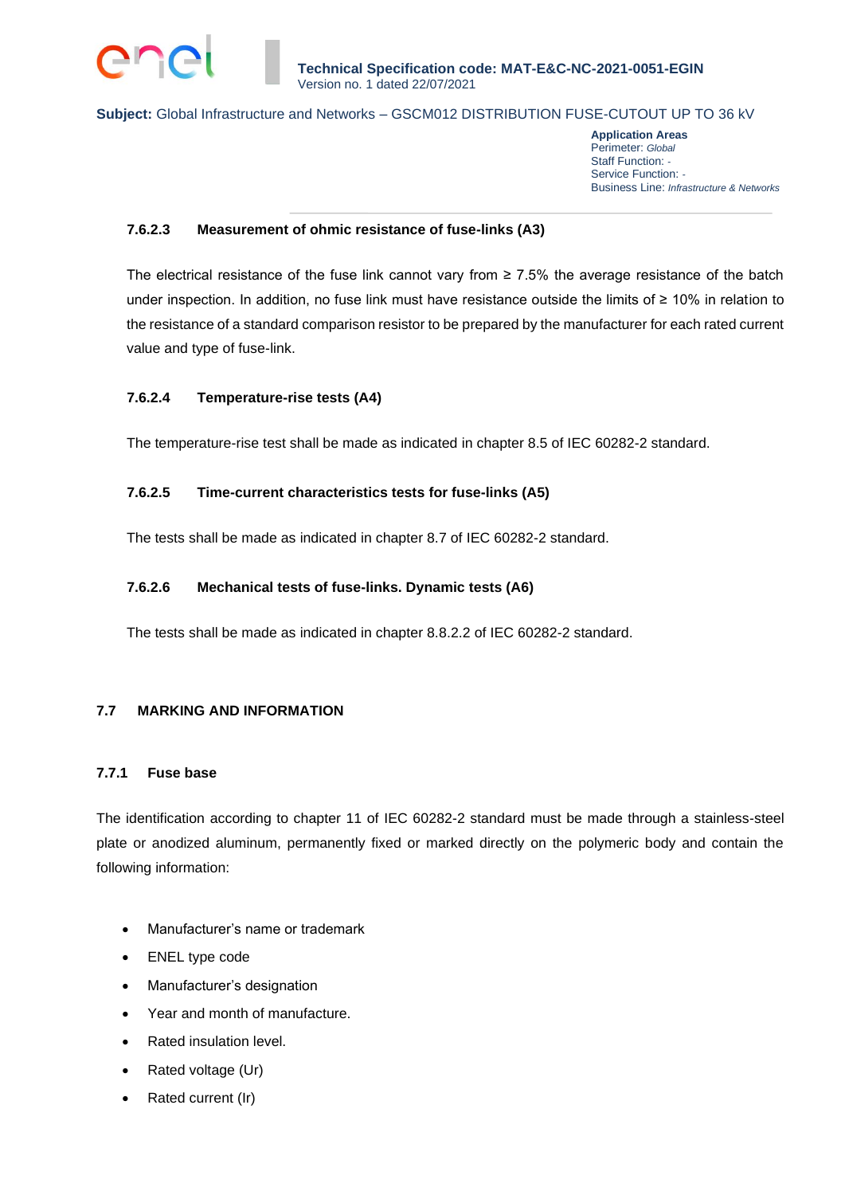

**Application Areas** Perimeter: *Global* Staff Function: *-* Service Function: *-* Business Line: *Infrastructure & Networks*

### **7.6.2.3 Measurement of ohmic resistance of fuse-links (A3)**

The electrical resistance of the fuse link cannot vary from  $\geq 7.5\%$  the average resistance of the batch under inspection. In addition, no fuse link must have resistance outside the limits of ≥ 10% in relation to the resistance of a standard comparison resistor to be prepared by the manufacturer for each rated current value and type of fuse-link.

### **7.6.2.4 Temperature-rise tests (A4)**

The temperature-rise test shall be made as indicated in chapter 8.5 of IEC 60282-2 standard.

### **7.6.2.5 Time-current characteristics tests for fuse-links (A5)**

The tests shall be made as indicated in chapter 8.7 of IEC 60282-2 standard.

### **7.6.2.6 Mechanical tests of fuse-links. Dynamic tests (A6)**

The tests shall be made as indicated in chapter 8.8.2.2 of IEC 60282-2 standard.

### **7.7 MARKING AND INFORMATION**

#### **7.7.1 Fuse base**

The identification according to chapter 11 of IEC 60282-2 standard must be made through a stainless-steel plate or anodized aluminum, permanently fixed or marked directly on the polymeric body and contain the following information:

- Manufacturer's name or trademark
- ENEL type code
- Manufacturer's designation
- Year and month of manufacture.
- Rated insulation level.
- Rated voltage (Ur)
- Rated current (Ir)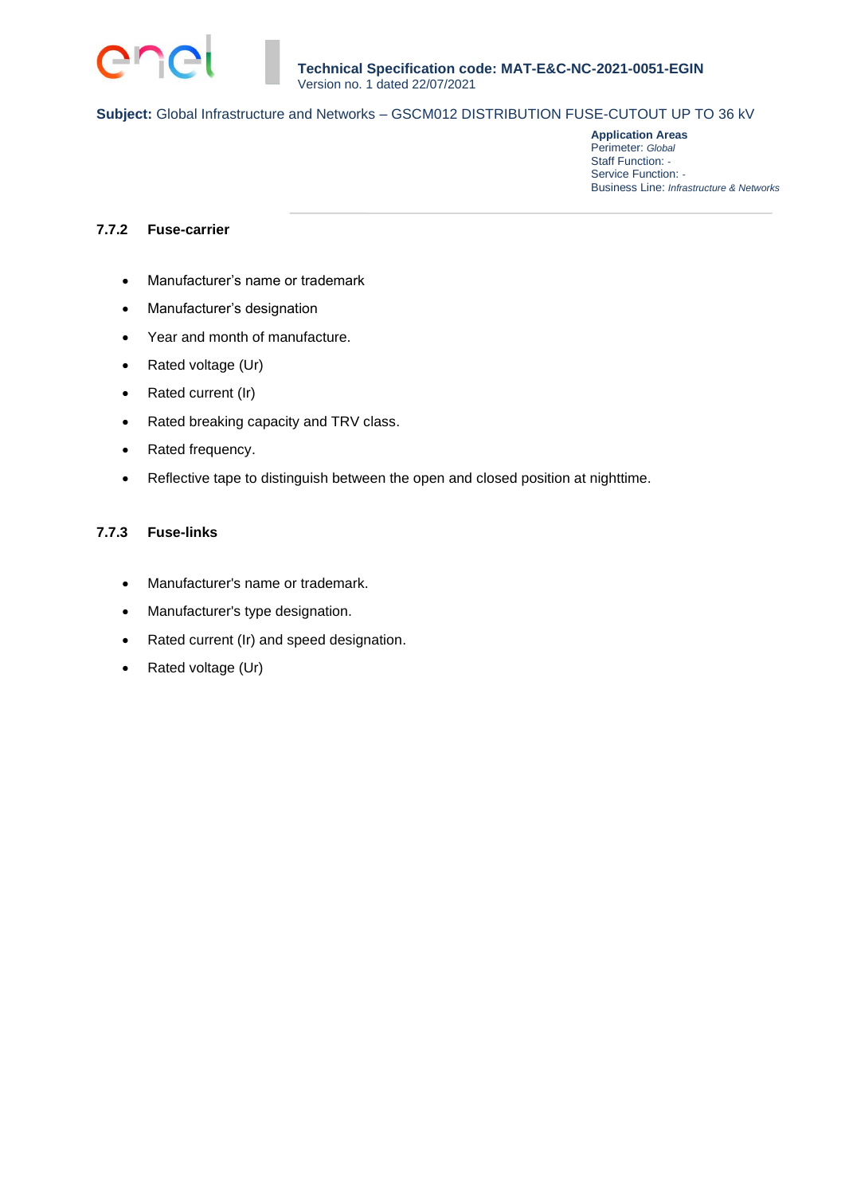

**Application Areas** Perimeter: *Global* Staff Function: *-* Service Function: *-* Business Line: *Infrastructure & Networks*

### **7.7.2 Fuse-carrier**

- Manufacturer's name or trademark
- Manufacturer's designation
- Year and month of manufacture.
- Rated voltage (Ur)
- Rated current (Ir)
- Rated breaking capacity and TRV class.
- Rated frequency.
- Reflective tape to distinguish between the open and closed position at nighttime.

### **7.7.3 Fuse-links**

- Manufacturer's name or trademark.
- Manufacturer's type designation.
- Rated current (Ir) and speed designation.
- Rated voltage (Ur)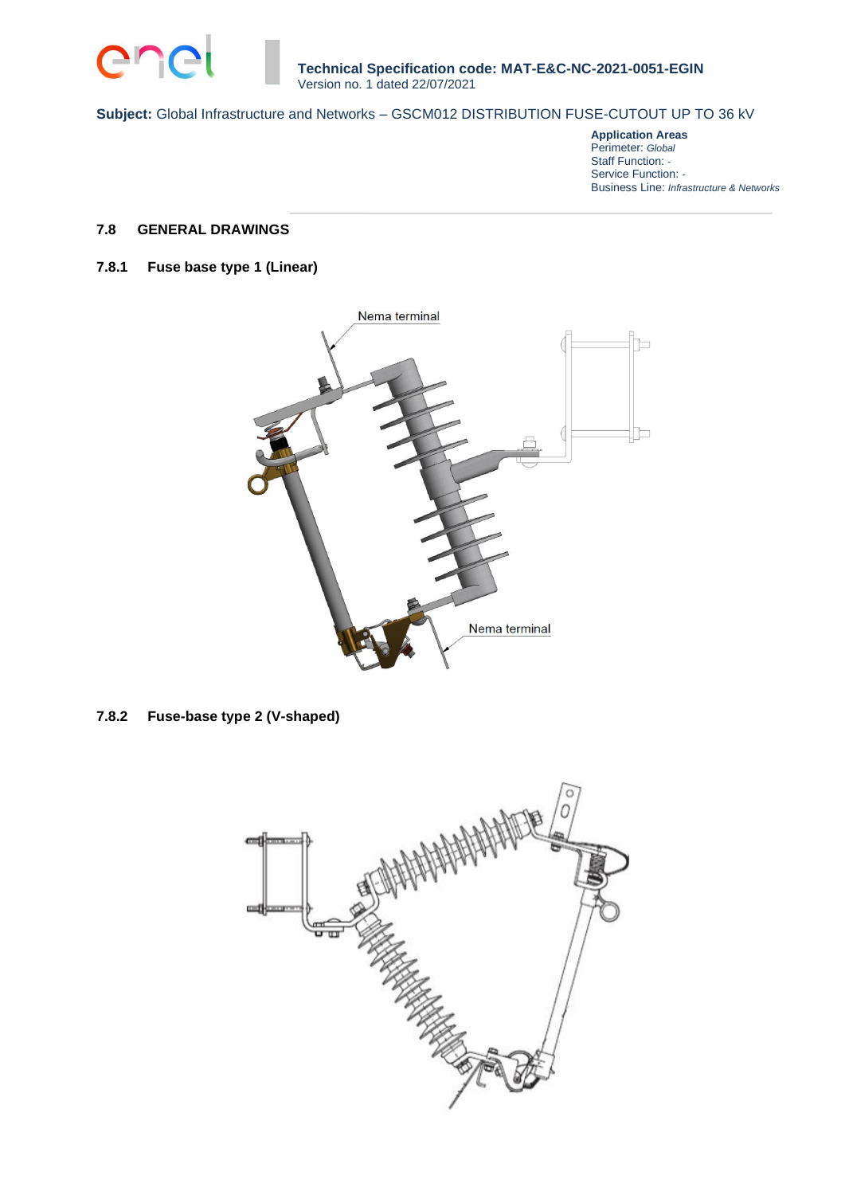

**Application Areas** Perimeter: *Global* Staff Function: *-* Service Function: *-* Business Line: *Infrastructure & Networks*

# **7.8 GENERAL DRAWINGS**

### **7.8.1 Fuse base type 1 (Linear)**



**7.8.2 Fuse-base type 2 (V-shaped)**

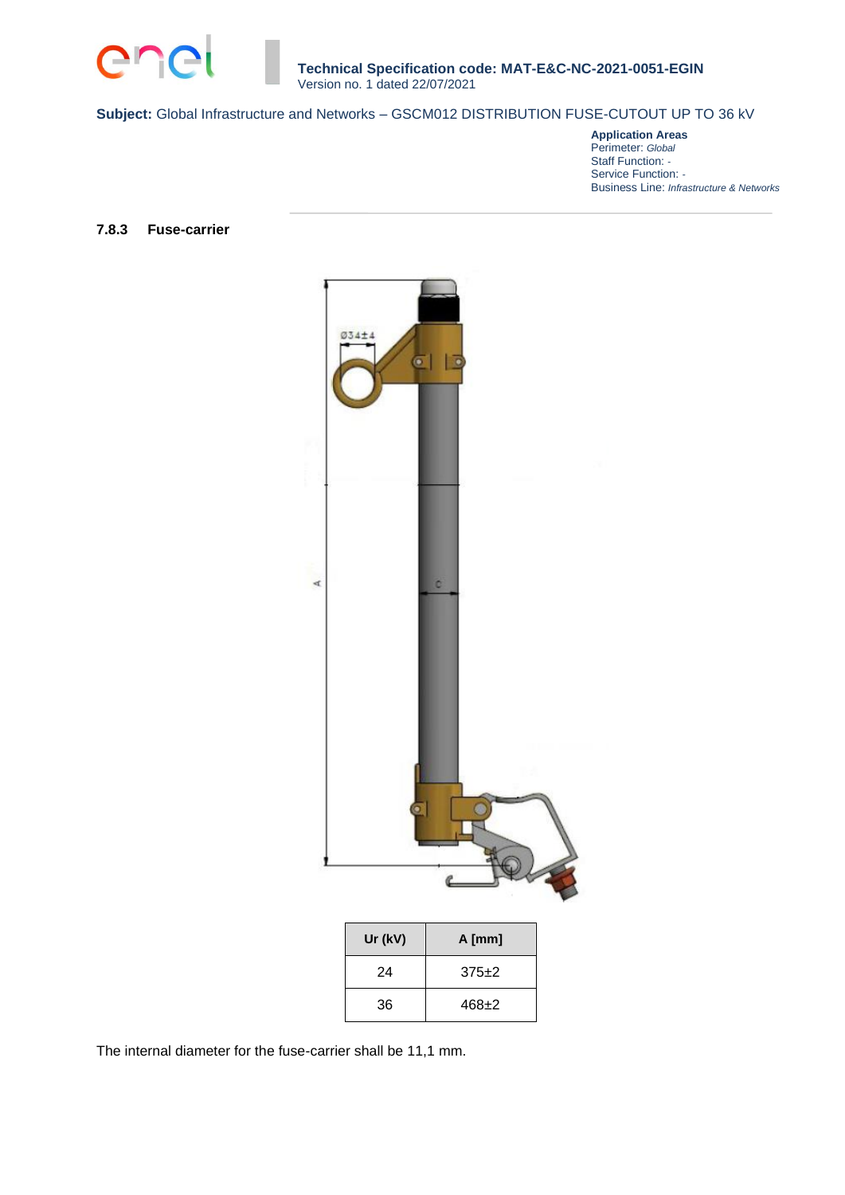

**Application Areas** Perimeter: *Global* Staff Function: *-* Service Function: *-* Business Line: *Infrastructure & Networks*

### **7.8.3 Fuse-carrier**



| Ur (kV) | $A$ [mm]  |
|---------|-----------|
| 24      | $375+2$   |
| 36      | $468 + 2$ |

The internal diameter for the fuse-carrier shall be 11,1 mm.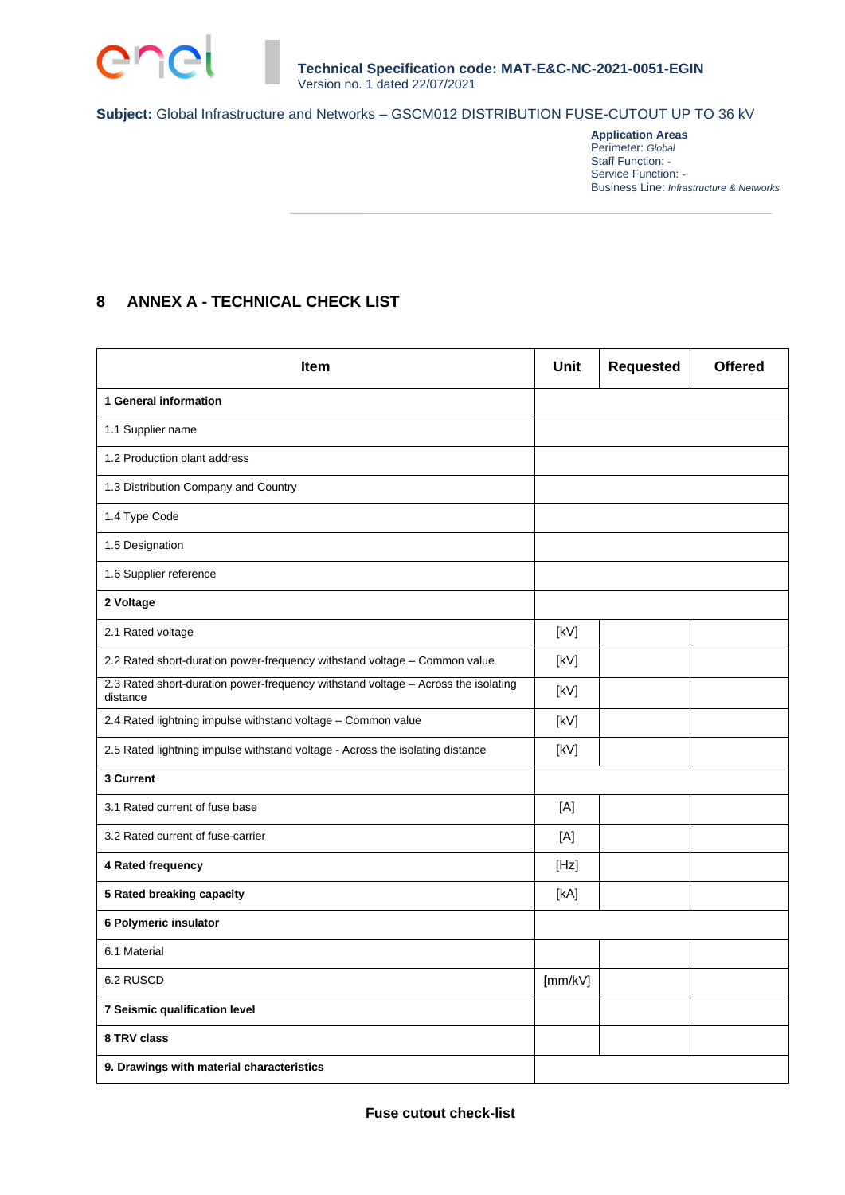

**Application Areas** Perimeter: *Global* Staff Function: *-* Service Function: *-* Business Line: *Infrastructure & Networks*

# **8 ANNEX A - TECHNICAL CHECK LIST**

| <b>Item</b>                                                                                   | <b>Unit</b> | <b>Requested</b> | <b>Offered</b> |
|-----------------------------------------------------------------------------------------------|-------------|------------------|----------------|
| 1 General information                                                                         |             |                  |                |
| 1.1 Supplier name                                                                             |             |                  |                |
| 1.2 Production plant address                                                                  |             |                  |                |
| 1.3 Distribution Company and Country                                                          |             |                  |                |
| 1.4 Type Code                                                                                 |             |                  |                |
| 1.5 Designation                                                                               |             |                  |                |
| 1.6 Supplier reference                                                                        |             |                  |                |
| 2 Voltage                                                                                     |             |                  |                |
| 2.1 Rated voltage                                                                             | [kV]        |                  |                |
| 2.2 Rated short-duration power-frequency withstand voltage - Common value                     | [kV]        |                  |                |
| 2.3 Rated short-duration power-frequency withstand voltage - Across the isolating<br>distance | [kV]        |                  |                |
| 2.4 Rated lightning impulse withstand voltage - Common value                                  | [kV]        |                  |                |
| 2.5 Rated lightning impulse withstand voltage - Across the isolating distance                 | [kV]        |                  |                |
| 3 Current                                                                                     |             |                  |                |
| 3.1 Rated current of fuse base                                                                | [A]         |                  |                |
| 3.2 Rated current of fuse-carrier                                                             | [A]         |                  |                |
| 4 Rated frequency                                                                             | [Hz]        |                  |                |
| 5 Rated breaking capacity                                                                     | [kA]        |                  |                |
| 6 Polymeric insulator                                                                         |             |                  |                |
| 6.1 Material                                                                                  |             |                  |                |
| 6.2 RUSCD                                                                                     | [mm/kV]     |                  |                |
| 7 Seismic qualification level                                                                 |             |                  |                |
| 8 TRV class                                                                                   |             |                  |                |
| 9. Drawings with material characteristics                                                     |             |                  |                |